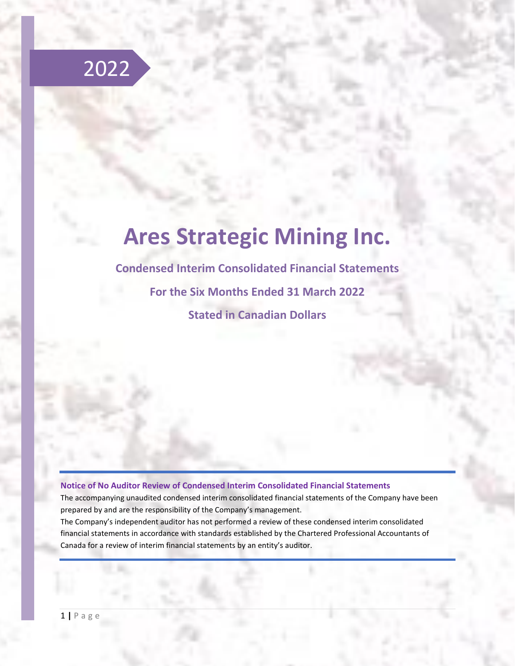

# **Ares Strategic Mining Inc.**

**Condensed Interim Consolidated Financial Statements For the Six Months Ended 31 March 2022 Stated in Canadian Dollars**

#### **Notice of No Auditor Review of Condensed Interim Consolidated Financial Statements**

The accompanying unaudited condensed interim consolidated financial statements of the Company have been prepared by and are the responsibility of the Company's management.

The Company's independent auditor has not performed a review of these condensed interim consolidated financial statements in accordance with standards established by the Chartered Professional Accountants of Canada for a review of interim financial statements by an entity's auditor.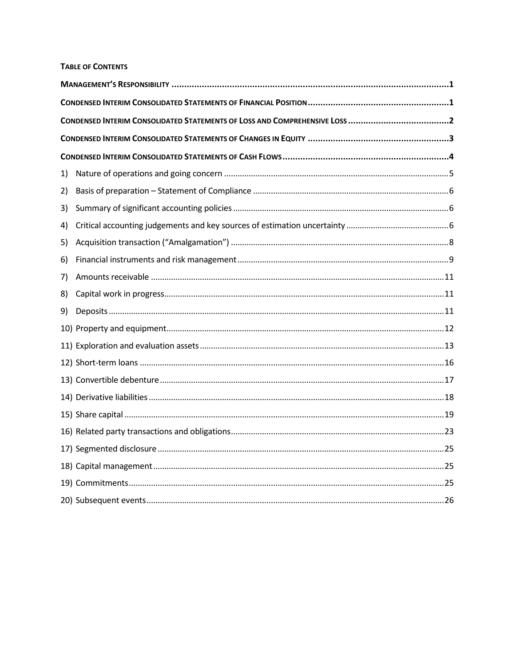#### **TABLE OF CONTENTS**

| 1) |  |
|----|--|
| 2) |  |
| 3) |  |
| 4) |  |
| 5) |  |
| 6) |  |
| 7) |  |
| 8) |  |
| 9) |  |
|    |  |
|    |  |
|    |  |
|    |  |
|    |  |
|    |  |
|    |  |
|    |  |
|    |  |
|    |  |
|    |  |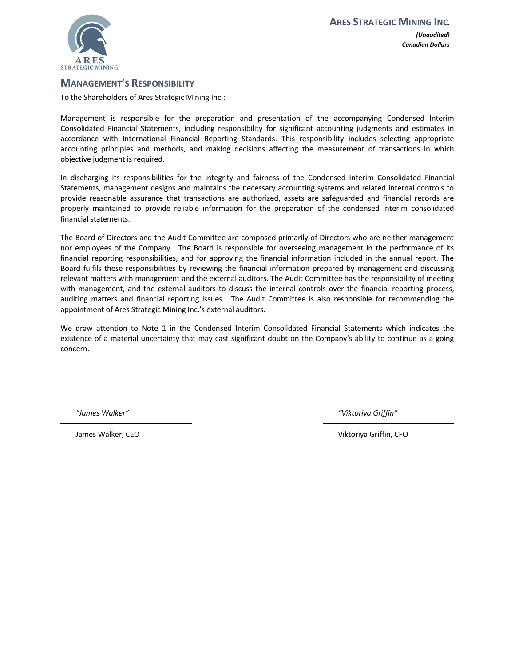

## <span id="page-2-0"></span>**MANAGEMENT'S RESPONSIBILITY**

To the Shareholders of Ares Strategic Mining Inc.:

Management is responsible for the preparation and presentation of the accompanying Condensed Interim Consolidated Financial Statements, including responsibility for significant accounting judgments and estimates in accordance with International Financial Reporting Standards. This responsibility includes selecting appropriate accounting principles and methods, and making decisions affecting the measurement of transactions in which objective judgment is required.

In discharging its responsibilities for the integrity and fairness of the Condensed Interim Consolidated Financial Statements, management designs and maintains the necessary accounting systems and related internal controls to provide reasonable assurance that transactions are authorized, assets are safeguarded and financial records are properly maintained to provide reliable information for the preparation of the condensed interim consolidated financial statements.

The Board of Directors and the Audit Committee are composed primarily of Directors who are neither management nor employees of the Company. The Board is responsible for overseeing management in the performance of its financial reporting responsibilities, and for approving the financial information included in the annual report. The Board fulfils these responsibilities by reviewing the financial information prepared by management and discussing relevant matters with management and the external auditors. The Audit Committee has the responsibility of meeting with management, and the external auditors to discuss the internal controls over the financial reporting process, auditing matters and financial reporting issues. The Audit Committee is also responsible for recommending the appointment of Ares Strategic Mining Inc.'s external auditors.

We draw attention to Note 1 in the Condensed Interim Consolidated Financial Statements which indicates the existence of a material uncertainty that may cast significant doubt on the Company's ability to continue as a going concern.

*"James Walker" "Viktoriya Griffin"*

James Walker, CEO Viktoriya Griffin, CFO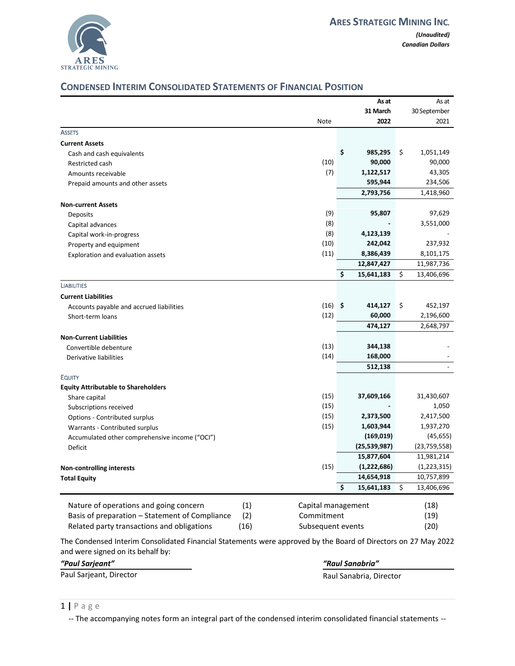

# <span id="page-3-0"></span>**CONDENSED INTERIM CONSOLIDATED STATEMENTS OF FINANCIAL POSITION**

|                                                                         |           | As at            | As at            |
|-------------------------------------------------------------------------|-----------|------------------|------------------|
|                                                                         |           | 31 March         | 30 September     |
|                                                                         | Note      | 2022             | 2021             |
| <b>ASSETS</b>                                                           |           |                  |                  |
| <b>Current Assets</b>                                                   |           |                  |                  |
| Cash and cash equivalents                                               |           | \$<br>985,295    | \$<br>1,051,149  |
| Restricted cash                                                         | (10)      | 90,000           | 90,000           |
| Amounts receivable                                                      | (7)       | 1,122,517        | 43,305           |
| Prepaid amounts and other assets                                        |           | 595,944          | 234,506          |
|                                                                         |           | 2,793,756        | 1,418,960        |
| <b>Non-current Assets</b>                                               |           |                  |                  |
| Deposits                                                                | (9)       | 95,807           | 97,629           |
| Capital advances                                                        | (8)       |                  | 3,551,000        |
| Capital work-in-progress                                                | (8)       | 4,123,139        |                  |
| Property and equipment                                                  | (10)      | 242,042          | 237,932          |
| Exploration and evaluation assets                                       | (11)      | 8,386,439        | 8,101,175        |
|                                                                         |           | 12,847,427       | 11,987,736       |
|                                                                         |           | \$<br>15,641,183 | \$<br>13,406,696 |
| <b>LIABILITIES</b>                                                      |           |                  |                  |
| <b>Current Liabilities</b>                                              |           |                  |                  |
| Accounts payable and accrued liabilities                                | $(16)$ \$ | 414,127          | \$<br>452,197    |
| Short-term loans                                                        | (12)      | 60,000           | 2,196,600        |
|                                                                         |           | 474,127          | 2,648,797        |
| <b>Non-Current Liabilities</b>                                          |           |                  |                  |
| Convertible debenture                                                   | (13)      | 344,138          |                  |
| Derivative liabilities                                                  | (14)      | 168,000          |                  |
|                                                                         |           | 512,138          |                  |
| <b>EQUITY</b>                                                           |           |                  |                  |
| <b>Equity Attributable to Shareholders</b>                              |           |                  |                  |
| Share capital                                                           | (15)      | 37,609,166       | 31,430,607       |
| Subscriptions received                                                  | (15)      |                  | 1,050            |
| Options - Contributed surplus                                           | (15)      | 2,373,500        | 2,417,500        |
| Warrants - Contributed surplus                                          | (15)      | 1,603,944        | 1,937,270        |
| Accumulated other comprehensive income ("OCI")                          |           | (169, 019)       | (45, 655)        |
| Deficit                                                                 |           | (25, 539, 987)   | (23,759,558)     |
|                                                                         |           | 15,877,604       | 11,981,214       |
| <b>Non-controlling interests</b>                                        | (15)      | (1,222,686)      | (1,223,315)      |
| <b>Total Equity</b>                                                     |           | 14,654,918       | 10,757,899       |
|                                                                         |           | \$<br>15,641,183 | \$<br>13,406,696 |
|                                                                         |           |                  |                  |
| Nature of operations and going concern<br>(1)<br>Capital management     |           |                  | (18)             |
| Basis of preparation - Statement of Compliance<br>(2)<br>Commitment     |           |                  | (19)             |
| Related party transactions and obligations<br>(16)<br>Subsequent events |           |                  | (20)             |

The Condensed Interim Consolidated Financial Statements were approved by the Board of Directors on 27 May 2022 and were signed on its behalf by:

*"Paul Sarjeant" "Raul Sanabria"*

Paul Sarjeant, Director **Raul Sanabria**, Director Raul Sanabria, Director

1 **|** P a g e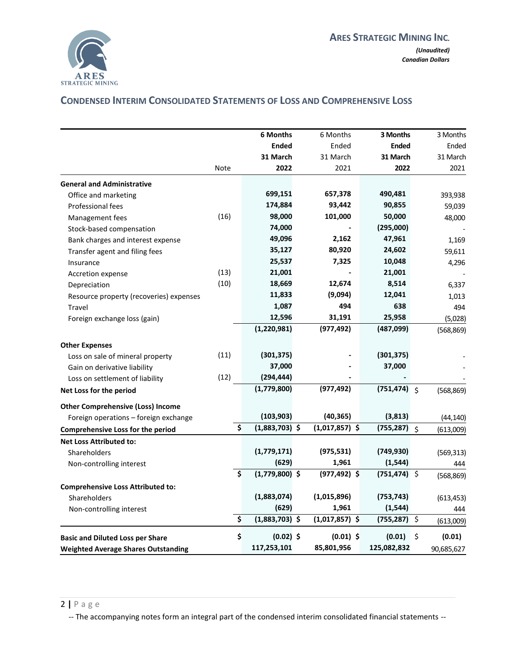

# <span id="page-4-0"></span>**CONDENSED INTERIM CONSOLIDATED STATEMENTS OF LOSS AND COMPREHENSIVE LOSS**

|                                            |      | <b>6 Months</b>        | 6 Months         | 3 Months        |         | 3 Months   |
|--------------------------------------------|------|------------------------|------------------|-----------------|---------|------------|
|                                            |      | <b>Ended</b>           | Ended            | <b>Ended</b>    |         | Ended      |
|                                            |      | 31 March               | 31 March         | 31 March        |         | 31 March   |
|                                            | Note | 2022                   | 2021             | 2022            |         | 2021       |
| <b>General and Administrative</b>          |      |                        |                  |                 |         |            |
| Office and marketing                       |      | 699,151                | 657,378          | 490,481         |         | 393,938    |
| Professional fees                          |      | 174,884                | 93,442           | 90,855          |         | 59,039     |
| Management fees                            | (16) | 98,000                 | 101,000          | 50,000          |         | 48,000     |
| Stock-based compensation                   |      | 74,000                 |                  | (295,000)       |         |            |
| Bank charges and interest expense          |      | 49,096                 | 2,162            | 47,961          |         | 1,169      |
| Transfer agent and filing fees             |      | 35,127                 | 80,920           | 24,602          |         | 59,611     |
| Insurance                                  |      | 25,537                 | 7,325            | 10,048          |         | 4,296      |
| Accretion expense                          | (13) | 21,001                 |                  | 21,001          |         |            |
| Depreciation                               | (10) | 18,669                 | 12,674           | 8,514           |         | 6,337      |
| Resource property (recoveries) expenses    |      | 11,833                 | (9,094)          | 12,041          |         | 1,013      |
| Travel                                     |      | 1,087                  | 494              | 638             |         | 494        |
| Foreign exchange loss (gain)               |      | 12,596                 | 31,191           | 25,958          |         | (5,028)    |
|                                            |      | (1, 220, 981)          | (977, 492)       | (487,099)       |         | (568, 869) |
| <b>Other Expenses</b>                      |      |                        |                  |                 |         |            |
| Loss on sale of mineral property           | (11) | (301, 375)             |                  | (301, 375)      |         |            |
| Gain on derivative liability               |      | 37,000                 |                  | 37,000          |         |            |
| Loss on settlement of liability            | (12) | (294, 444)             |                  |                 |         |            |
| Net Loss for the period                    |      | (1,779,800)            | (977, 492)       | $(751, 474)$ \$ |         | (568, 869) |
| <b>Other Comprehensive (Loss) Income</b>   |      |                        |                  |                 |         |            |
| Foreign operations - foreign exchange      |      | (103, 903)             | (40, 365)        | (3,813)         |         | (44, 140)  |
| <b>Comprehensive Loss for the period</b>   |      | \$<br>$(1,883,703)$ \$ | $(1,017,857)$ \$ | $(755, 287)$ \$ |         | (613,009)  |
| <b>Net Loss Attributed to:</b>             |      |                        |                  |                 |         |            |
| Shareholders                               |      | (1,779,171)            | (975, 531)       | (749, 930)      |         | (569, 313) |
| Non-controlling interest                   |      | (629)                  | 1,961            | (1, 544)        |         | 444        |
|                                            |      | \$<br>$(1,779,800)$ \$ | $(977, 492)$ \$  | $(751, 474)$ \$ |         | (568, 869) |
| <b>Comprehensive Loss Attributed to:</b>   |      |                        |                  |                 |         |            |
| Shareholders                               |      | (1,883,074)            | (1,015,896)      | (753, 743)      |         | (613, 453) |
| Non-controlling interest                   |      | (629)                  | 1,961            | (1, 544)        |         | 444        |
|                                            |      | \$<br>$(1,883,703)$ \$ | $(1,017,857)$ \$ | (755, 287)      | $\zeta$ | (613,009)  |
| <b>Basic and Diluted Loss per Share</b>    |      | \$<br>$(0.02)$ \$      | $(0.01)$ \$      | (0.01)          | Ŝ.      | (0.01)     |
| <b>Weighted Average Shares Outstanding</b> |      | 117,253,101            | 85,801,956       | 125,082,832     |         | 90,685,627 |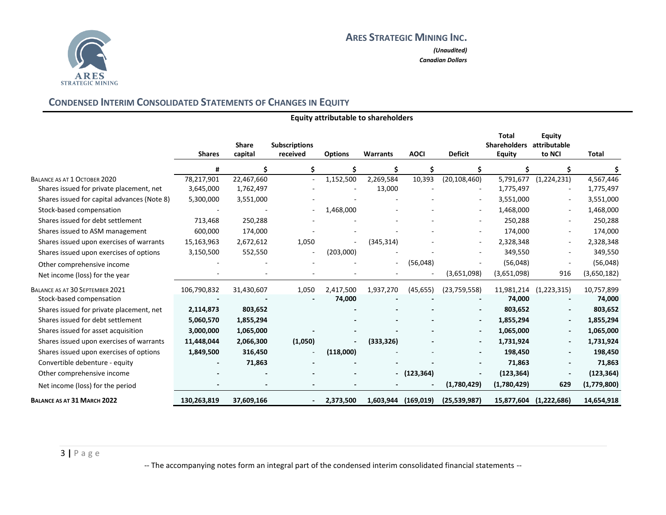

*(Unaudited) Canadian Dollars*

# **CONDENSED INTERIM CONSOLIDATED STATEMENTS OF CHANGES IN EQUITY**

<span id="page-5-0"></span>

|                                             | <b>Shares</b> | <b>Share</b><br>capital | <b>Subscriptions</b><br>received | <b>Options</b> | <b>Warrants</b>          | <b>AOCI</b> | <b>Deficit</b>           | <b>Total</b><br><b>Shareholders</b><br>Equity | <b>Equity</b><br>attributable<br>to NCI | <b>Total</b> |
|---------------------------------------------|---------------|-------------------------|----------------------------------|----------------|--------------------------|-------------|--------------------------|-----------------------------------------------|-----------------------------------------|--------------|
|                                             | Ħ             |                         |                                  |                | Ś                        |             |                          |                                               |                                         |              |
| BALANCE AS AT 1 OCTOBER 2020                | 78,217,901    | 22,467,660              |                                  | 1,152,500      | 2,269,584                | 10.393      | (20, 108, 460)           | 5,791,677                                     | (1,224,231)                             | 4,567,446    |
| Shares issued for private placement, net    | 3,645,000     | 1,762,497               |                                  |                | 13,000                   |             |                          | 1,775,497                                     |                                         | 1,775,497    |
| Shares issued for capital advances (Note 8) | 5,300,000     | 3,551,000               |                                  |                |                          |             |                          | 3,551,000                                     | $\blacksquare$                          | 3,551,000    |
| Stock-based compensation                    |               |                         |                                  | 1,468,000      |                          |             | $\sim$                   | 1,468,000                                     | $\sim$                                  | 1,468,000    |
| Shares issued for debt settlement           | 713,468       | 250,288                 |                                  |                |                          |             |                          | 250,288                                       |                                         | 250,288      |
| Shares issued to ASM management             | 600,000       | 174,000                 |                                  |                |                          |             |                          | 174,000                                       |                                         | 174,000      |
| Shares issued upon exercises of warrants    | 15,163,963    | 2,672,612               | 1,050                            |                | (345, 314)               |             |                          | 2,328,348                                     | $\sim$                                  | 2,328,348    |
| Shares issued upon exercises of options     | 3,150,500     | 552,550                 |                                  | (203,000)      |                          |             |                          | 349,550                                       | $\sim$                                  | 349,550      |
| Other comprehensive income                  |               |                         |                                  |                | $\overline{\phantom{a}}$ | (56,048)    |                          | (56,048)                                      |                                         | (56,048)     |
| Net income (loss) for the year              |               |                         |                                  |                |                          |             | (3,651,098)              | (3,651,098)                                   | 916                                     | (3,650,182)  |
| BALANCE AS AT 30 SEPTEMBER 2021             | 106,790,832   | 31,430,607              | 1,050                            | 2,417,500      | 1,937,270                | (45, 655)   | (23, 759, 558)           | 11,981,214                                    | (1,223,315)                             | 10,757,899   |
| Stock-based compensation                    |               |                         |                                  | 74,000         |                          |             |                          | 74,000                                        |                                         | 74,000       |
| Shares issued for private placement, net    | 2,114,873     | 803,652                 |                                  |                |                          |             |                          | 803,652                                       |                                         | 803,652      |
| Shares issued for debt settlement           | 5,060,570     | 1,855,294               |                                  |                |                          |             | $\overline{\phantom{a}}$ | 1,855,294                                     | $\overline{\phantom{a}}$                | 1,855,294    |
| Shares issued for asset acquisition         | 3,000,000     | 1,065,000               |                                  |                |                          |             |                          | 1,065,000                                     | $\overline{\phantom{a}}$                | 1,065,000    |
| Shares issued upon exercises of warrants    | 11,448,044    | 2,066,300               | (1,050)                          |                | (333, 326)               |             |                          | 1,731,924                                     | $\blacksquare$                          | 1,731,924    |
| Shares issued upon exercises of options     | 1,849,500     | 316,450                 |                                  | (118,000)      |                          |             | $\overline{\phantom{a}}$ | 198,450                                       | $\blacksquare$                          | 198,450      |
| Convertible debenture - equity              |               | 71,863                  |                                  |                |                          |             |                          | 71,863                                        | $\overline{\phantom{a}}$                | 71,863       |
| Other comprehensive income                  |               |                         |                                  |                |                          | (123, 364)  |                          | (123, 364)                                    |                                         | (123, 364)   |
| Net income (loss) for the period            |               |                         |                                  |                |                          |             | (1,780,429)              | (1,780,429)                                   | 629                                     | (1,779,800)  |
| BALANCE AS AT 31 MARCH 2022                 | 130,263,819   | 37,609,166              |                                  | 2,373,500      | 1,603,944                | (169, 019)  | (25, 539, 987)           | 15,877,604                                    | (1,222,686)                             | 14,654,918   |

**Equity attributable to shareholders**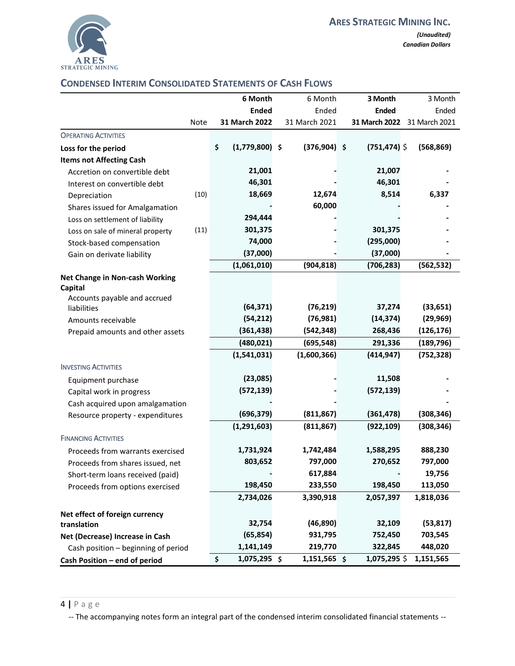

## <span id="page-6-0"></span>**CONDENSED INTERIM CONSOLIDATED STATEMENTS OF CASH FLOWS**

|                                                                     |      | 6 Month                | 6 Month        | 3 Month         | 3 Month                     |
|---------------------------------------------------------------------|------|------------------------|----------------|-----------------|-----------------------------|
|                                                                     |      | <b>Ended</b>           | Ended          | <b>Ended</b>    | Ended                       |
|                                                                     | Note | 31 March 2022          | 31 March 2021  |                 | 31 March 2022 31 March 2021 |
| <b>OPERATING ACTIVITIES</b>                                         |      |                        |                |                 |                             |
| Loss for the period                                                 |      | \$<br>$(1,779,800)$ \$ | $(376,904)$ \$ | $(751, 474)$ \$ | (568, 869)                  |
| <b>Items not Affecting Cash</b>                                     |      |                        |                |                 |                             |
| Accretion on convertible debt                                       |      | 21,001                 |                | 21,007          |                             |
| Interest on convertible debt                                        |      | 46,301                 |                | 46,301          |                             |
| Depreciation                                                        | (10) | 18,669                 | 12,674         | 8,514           | 6,337                       |
| Shares issued for Amalgamation                                      |      |                        | 60,000         |                 |                             |
| Loss on settlement of liability                                     |      | 294,444                |                |                 |                             |
| Loss on sale of mineral property                                    | (11) | 301,375                |                | 301,375         |                             |
| Stock-based compensation                                            |      | 74,000                 |                | (295,000)       |                             |
| Gain on derivate liability                                          |      | (37,000)               |                | (37,000)        |                             |
|                                                                     |      | (1,061,010)            | (904, 818)     | (706, 283)      | (562, 532)                  |
| Net Change in Non-cash Working<br>Capital                           |      |                        |                |                 |                             |
| Accounts payable and accrued                                        |      |                        |                |                 |                             |
| liabilities                                                         |      | (64, 371)              | (76, 219)      | 37,274          | (33, 651)                   |
| Amounts receivable                                                  |      | (54, 212)              | (76, 981)      | (14, 374)       | (29, 969)                   |
| Prepaid amounts and other assets                                    |      | (361, 438)             | (542, 348)     | 268,436         | (126, 176)                  |
|                                                                     |      | (480, 021)             | (695, 548)     | 291,336         | (189, 796)                  |
| <b>INVESTING ACTIVITIES</b>                                         |      | (1,541,031)            | (1,600,366)    | (414, 947)      | (752, 328)                  |
|                                                                     |      | (23,085)               |                | 11,508          |                             |
| Equipment purchase                                                  |      | (572, 139)             |                | (572, 139)      |                             |
| Capital work in progress                                            |      |                        |                |                 |                             |
| Cash acquired upon amalgamation<br>Resource property - expenditures |      | (696, 379)             | (811, 867)     | (361, 478)      | (308, 346)                  |
|                                                                     |      | (1, 291, 603)          | (811, 867)     | (922, 109)      | (308, 346)                  |
| <b>FINANCING ACTIVITIES</b>                                         |      |                        |                |                 |                             |
| Proceeds from warrants exercised                                    |      | 1,731,924              | 1,742,484      | 1,588,295       | 888,230                     |
| Proceeds from shares issued, net                                    |      | 803,652                | 797,000        | 270,652         | 797,000                     |
| Short-term loans received (paid)                                    |      |                        | 617,884        |                 | 19,756                      |
| Proceeds from options exercised                                     |      | 198,450                | 233,550        | 198,450         | 113,050                     |
|                                                                     |      | 2,734,026              | 3,390,918      | 2,057,397       | 1,818,036                   |
| Net effect of foreign currency                                      |      |                        |                |                 |                             |
| translation                                                         |      | 32,754                 | (46, 890)      | 32,109          | (53, 817)                   |
| Net (Decrease) Increase in Cash                                     |      | (65, 854)              | 931,795        | 752,450         | 703,545                     |
| Cash position - beginning of period                                 |      | 1,141,149              | 219,770        | 322,845         | 448,020                     |
| Cash Position - end of period                                       |      | 1,075,295 \$<br>\$     | 1,151,565 \$   | 1,075,295 \$    | 1,151,565                   |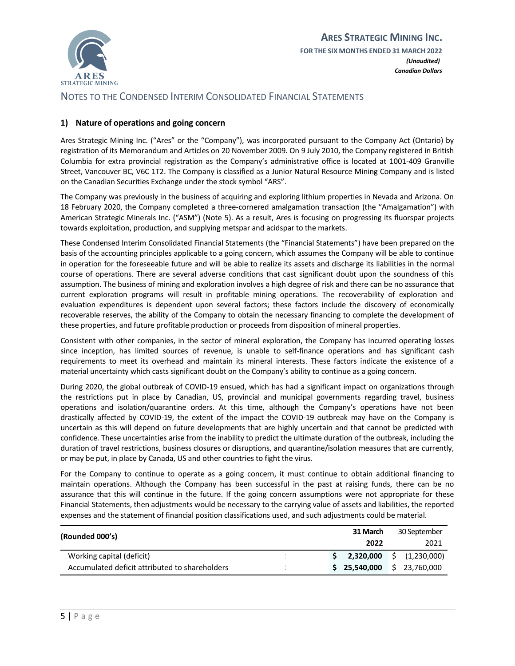

*Canadian Dollars*

## NOTES TO THE CONDENSED INTERIM CONSOLIDATED FINANCIAL STATEMENTS

#### <span id="page-7-0"></span>**1) Nature of operations and going concern**

Ares Strategic Mining Inc. ("Ares" or the "Company"), was incorporated pursuant to the Company Act (Ontario) by registration of its Memorandum and Articles on 20 November 2009. On 9 July 2010, the Company registered in British Columbia for extra provincial registration as the Company's administrative office is located at 1001-409 Granville Street, Vancouver BC, V6C 1T2. The Company is classified as a Junior Natural Resource Mining Company and is listed on the Canadian Securities Exchange under the stock symbol "ARS".

The Company was previously in the business of acquiring and exploring lithium properties in Nevada and Arizona. On 18 February 2020, the Company completed a three-cornered amalgamation transaction (the "Amalgamation") with American Strategic Minerals Inc. ("ASM") (Note 5). As a result, Ares is focusing on progressing its fluorspar projects towards exploitation, production, and supplying metspar and acidspar to the markets.

These Condensed Interim Consolidated Financial Statements (the "Financial Statements") have been prepared on the basis of the accounting principles applicable to a going concern, which assumes the Company will be able to continue in operation for the foreseeable future and will be able to realize its assets and discharge its liabilities in the normal course of operations. There are several adverse conditions that cast significant doubt upon the soundness of this assumption. The business of mining and exploration involves a high degree of risk and there can be no assurance that current exploration programs will result in profitable mining operations. The recoverability of exploration and evaluation expenditures is dependent upon several factors; these factors include the discovery of economically recoverable reserves, the ability of the Company to obtain the necessary financing to complete the development of these properties, and future profitable production or proceeds from disposition of mineral properties.

Consistent with other companies, in the sector of mineral exploration, the Company has incurred operating losses since inception, has limited sources of revenue, is unable to self-finance operations and has significant cash requirements to meet its overhead and maintain its mineral interests. These factors indicate the existence of a material uncertainty which casts significant doubt on the Company's ability to continue as a going concern.

During 2020, the global outbreak of COVID-19 ensued, which has had a significant impact on organizations through the restrictions put in place by Canadian, US, provincial and municipal governments regarding travel, business operations and isolation/quarantine orders. At this time, although the Company's operations have not been drastically affected by COVID-19, the extent of the impact the COVID-19 outbreak may have on the Company is uncertain as this will depend on future developments that are highly uncertain and that cannot be predicted with confidence. These uncertainties arise from the inability to predict the ultimate duration of the outbreak, including the duration of travel restrictions, business closures or disruptions, and quarantine/isolation measures that are currently, or may be put, in place by Canada, US and other countries to fight the virus.

For the Company to continue to operate as a going concern, it must continue to obtain additional financing to maintain operations. Although the Company has been successful in the past at raising funds, there can be no assurance that this will continue in the future. If the going concern assumptions were not appropriate for these Financial Statements, then adjustments would be necessary to the carrying value of assets and liabilities, the reported expenses and the statement of financial position classifications used, and such adjustments could be material.

| (Rounded 000's)                                |  | 31 March     | 30 September      |
|------------------------------------------------|--|--------------|-------------------|
|                                                |  | 2022         | 2021              |
| Working capital (deficit)                      |  | 2,320,000    | (1,230,000)<br>S. |
| Accumulated deficit attributed to shareholders |  | \$25,540,000 | \$23,760,000      |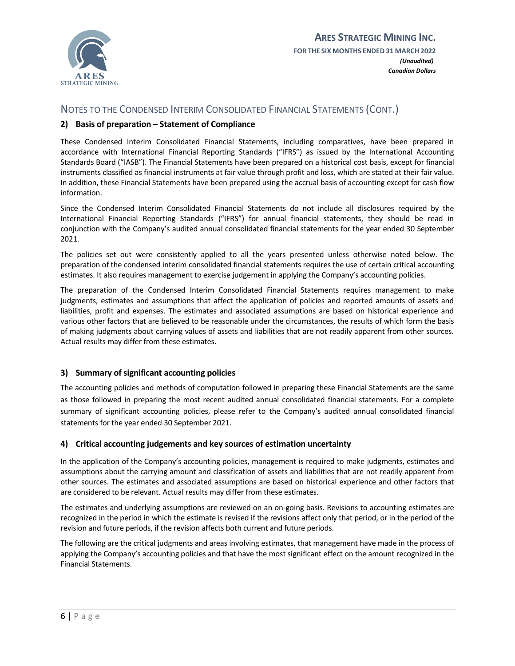

#### <span id="page-8-0"></span>**2) Basis of preparation – Statement of Compliance**

These Condensed Interim Consolidated Financial Statements, including comparatives, have been prepared in accordance with International Financial Reporting Standards ("IFRS") as issued by the International Accounting Standards Board ("IASB"). The Financial Statements have been prepared on a historical cost basis, except for financial instruments classified as financial instruments at fair value through profit and loss, which are stated at their fair value. In addition, these Financial Statements have been prepared using the accrual basis of accounting except for cash flow information.

Since the Condensed Interim Consolidated Financial Statements do not include all disclosures required by the International Financial Reporting Standards ("IFRS") for annual financial statements, they should be read in conjunction with the Company's audited annual consolidated financial statements for the year ended 30 September 2021.

The policies set out were consistently applied to all the years presented unless otherwise noted below. The preparation of the condensed interim consolidated financial statements requires the use of certain critical accounting estimates. It also requires management to exercise judgement in applying the Company's accounting policies.

The preparation of the Condensed Interim Consolidated Financial Statements requires management to make judgments, estimates and assumptions that affect the application of policies and reported amounts of assets and liabilities, profit and expenses. The estimates and associated assumptions are based on historical experience and various other factors that are believed to be reasonable under the circumstances, the results of which form the basis of making judgments about carrying values of assets and liabilities that are not readily apparent from other sources. Actual results may differ from these estimates.

#### <span id="page-8-1"></span>**3) Summary of significant accounting policies**

The accounting policies and methods of computation followed in preparing these Financial Statements are the same as those followed in preparing the most recent audited annual consolidated financial statements. For a complete summary of significant accounting policies, please refer to the Company's audited annual consolidated financial statements for the year ended 30 September 2021.

#### <span id="page-8-2"></span>**4) Critical accounting judgements and key sources of estimation uncertainty**

In the application of the Company's accounting policies, management is required to make judgments, estimates and assumptions about the carrying amount and classification of assets and liabilities that are not readily apparent from other sources. The estimates and associated assumptions are based on historical experience and other factors that are considered to be relevant. Actual results may differ from these estimates.

The estimates and underlying assumptions are reviewed on an on-going basis. Revisions to accounting estimates are recognized in the period in which the estimate is revised if the revisions affect only that period, or in the period of the revision and future periods, if the revision affects both current and future periods.

The following are the critical judgments and areas involving estimates, that management have made in the process of applying the Company's accounting policies and that have the most significant effect on the amount recognized in the Financial Statements.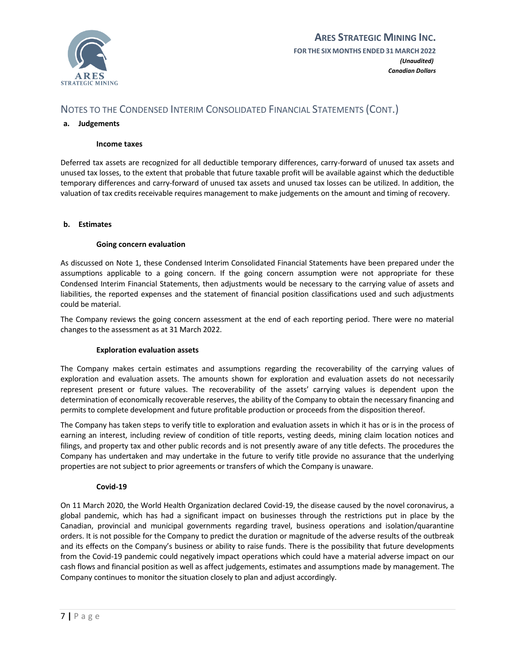

#### **a. Judgements**

#### **Income taxes**

Deferred tax assets are recognized for all deductible temporary differences, carry-forward of unused tax assets and unused tax losses, to the extent that probable that future taxable profit will be available against which the deductible temporary differences and carry-forward of unused tax assets and unused tax losses can be utilized. In addition, the valuation of tax credits receivable requires management to make judgements on the amount and timing of recovery.

#### **b. Estimates**

#### **Going concern evaluation**

As discussed on Note 1, these Condensed Interim Consolidated Financial Statements have been prepared under the assumptions applicable to a going concern. If the going concern assumption were not appropriate for these Condensed Interim Financial Statements, then adjustments would be necessary to the carrying value of assets and liabilities, the reported expenses and the statement of financial position classifications used and such adjustments could be material.

The Company reviews the going concern assessment at the end of each reporting period. There were no material changes to the assessment as at 31 March 2022.

#### **Exploration evaluation assets**

The Company makes certain estimates and assumptions regarding the recoverability of the carrying values of exploration and evaluation assets. The amounts shown for exploration and evaluation assets do not necessarily represent present or future values. The recoverability of the assets' carrying values is dependent upon the determination of economically recoverable reserves, the ability of the Company to obtain the necessary financing and permits to complete development and future profitable production or proceeds from the disposition thereof.

The Company has taken steps to verify title to exploration and evaluation assets in which it has or is in the process of earning an interest, including review of condition of title reports, vesting deeds, mining claim location notices and filings, and property tax and other public records and is not presently aware of any title defects. The procedures the Company has undertaken and may undertake in the future to verify title provide no assurance that the underlying properties are not subject to prior agreements or transfers of which the Company is unaware.

#### **Covid-19**

On 11 March 2020, the World Health Organization declared Covid-19, the disease caused by the novel coronavirus, a global pandemic, which has had a significant impact on businesses through the restrictions put in place by the Canadian, provincial and municipal governments regarding travel, business operations and isolation/quarantine orders. It is not possible for the Company to predict the duration or magnitude of the adverse results of the outbreak and its effects on the Company's business or ability to raise funds. There is the possibility that future developments from the Covid-19 pandemic could negatively impact operations which could have a material adverse impact on our cash flows and financial position as well as affect judgements, estimates and assumptions made by management. The Company continues to monitor the situation closely to plan and adjust accordingly.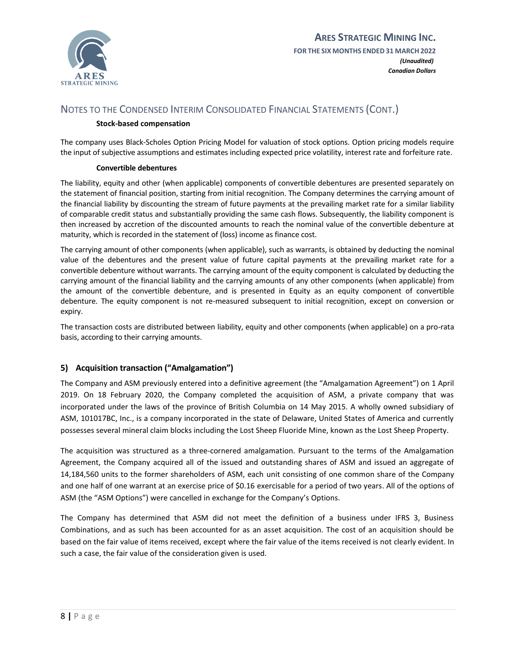

#### **Stock-based compensation**

The company uses Black-Scholes Option Pricing Model for valuation of stock options. Option pricing models require the input of subjective assumptions and estimates including expected price volatility, interest rate and forfeiture rate.

#### **Convertible debentures**

The liability, equity and other (when applicable) components of convertible debentures are presented separately on the statement of financial position, starting from initial recognition. The Company determines the carrying amount of the financial liability by discounting the stream of future payments at the prevailing market rate for a similar liability of comparable credit status and substantially providing the same cash flows. Subsequently, the liability component is then increased by accretion of the discounted amounts to reach the nominal value of the convertible debenture at maturity, which is recorded in the statement of (loss) income as finance cost.

The carrying amount of other components (when applicable), such as warrants, is obtained by deducting the nominal value of the debentures and the present value of future capital payments at the prevailing market rate for a convertible debenture without warrants. The carrying amount of the equity component is calculated by deducting the carrying amount of the financial liability and the carrying amounts of any other components (when applicable) from the amount of the convertible debenture, and is presented in Equity as an equity component of convertible debenture. The equity component is not re-measured subsequent to initial recognition, except on conversion or expiry.

The transaction costs are distributed between liability, equity and other components (when applicable) on a pro-rata basis, according to their carrying amounts.

#### <span id="page-10-0"></span>**5) Acquisition transaction ("Amalgamation")**

The Company and ASM previously entered into a definitive agreement (the "Amalgamation Agreement") on 1 April 2019. On 18 February 2020, the Company completed the acquisition of ASM, a private company that was incorporated under the laws of the province of British Columbia on 14 May 2015. A wholly owned subsidiary of ASM, 101017BC, Inc., is a company incorporated in the state of Delaware, United States of America and currently possesses several mineral claim blocks including the Lost Sheep Fluoride Mine, known as the Lost Sheep Property.

The acquisition was structured as a three-cornered amalgamation. Pursuant to the terms of the Amalgamation Agreement, the Company acquired all of the issued and outstanding shares of ASM and issued an aggregate of 14,184,560 units to the former shareholders of ASM, each unit consisting of one common share of the Company and one half of one warrant at an exercise price of \$0.16 exercisable for a period of two years. All of the options of ASM (the "ASM Options") were cancelled in exchange for the Company's Options.

The Company has determined that ASM did not meet the definition of a business under IFRS 3, Business Combinations, and as such has been accounted for as an asset acquisition. The cost of an acquisition should be based on the fair value of items received, except where the fair value of the items received is not clearly evident. In such a case, the fair value of the consideration given is used.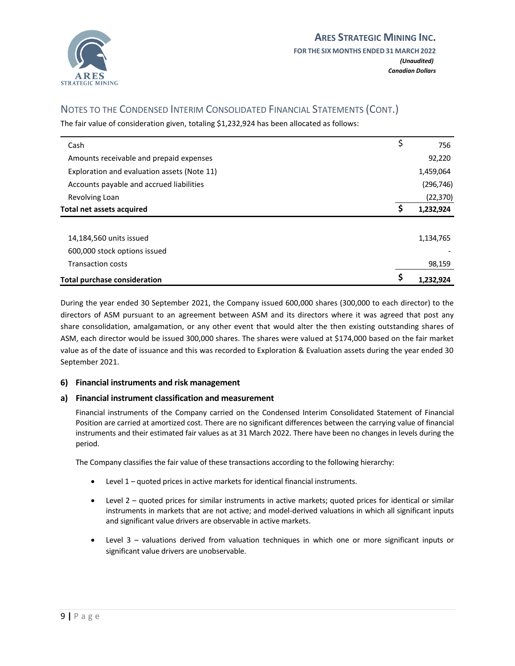

The fair value of consideration given, totaling \$1,232,924 has been allocated as follows:

| Cash                                        | \$ | 756        |
|---------------------------------------------|----|------------|
| Amounts receivable and prepaid expenses     |    | 92,220     |
| Exploration and evaluation assets (Note 11) |    | 1,459,064  |
| Accounts payable and accrued liabilities    |    | (296, 746) |
| Revolving Loan                              |    | (22, 370)  |
| Total net assets acquired                   | S  | 1,232,924  |
|                                             |    |            |
| 14,184,560 units issued                     |    | 1,134,765  |
| 600,000 stock options issued                |    |            |
| <b>Transaction costs</b>                    |    | 98,159     |
| <b>Total purchase consideration</b>         |    | 1.232.924  |

During the year ended 30 September 2021, the Company issued 600,000 shares (300,000 to each director) to the directors of ASM pursuant to an agreement between ASM and its directors where it was agreed that post any share consolidation, amalgamation, or any other event that would alter the then existing outstanding shares of ASM, each director would be issued 300,000 shares. The shares were valued at \$174,000 based on the fair market value as of the date of issuance and this was recorded to Exploration & Evaluation assets during the year ended 30 September 2021.

#### <span id="page-11-0"></span>**6) Financial instruments and risk management**

#### **a) Financial instrument classification and measurement**

Financial instruments of the Company carried on the Condensed Interim Consolidated Statement of Financial Position are carried at amortized cost. There are no significant differences between the carrying value of financial instruments and their estimated fair values as at 31 March 2022. There have been no changes in levels during the period.

The Company classifies the fair value of these transactions according to the following hierarchy:

- Level 1 quoted prices in active markets for identical financial instruments.
- Level 2 quoted prices for similar instruments in active markets; quoted prices for identical or similar instruments in markets that are not active; and model-derived valuations in which all significant inputs and significant value drivers are observable in active markets.
- Level 3 valuations derived from valuation techniques in which one or more significant inputs or significant value drivers are unobservable.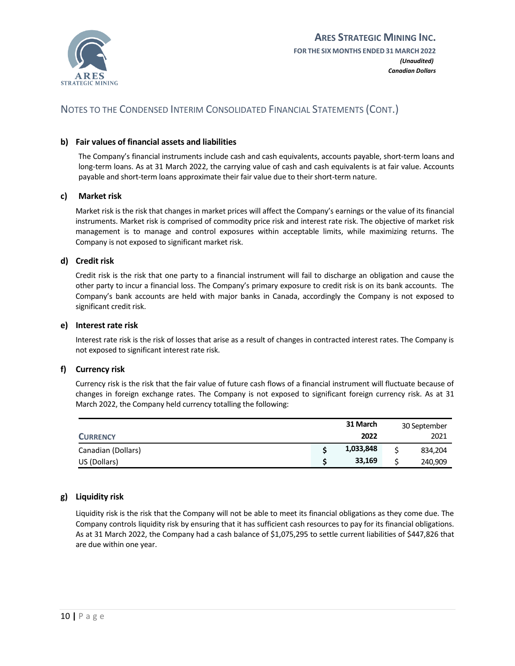

#### **b) Fair values of financial assets and liabilities**

The Company's financial instruments include cash and cash equivalents, accounts payable, short-term loans and long-term loans. As at 31 March 2022, the carrying value of cash and cash equivalents is at fair value. Accounts payable and short-term loans approximate their fair value due to their short-term nature.

#### **c) Market risk**

Market risk is the risk that changes in market prices will affect the Company's earnings or the value of its financial instruments. Market risk is comprised of commodity price risk and interest rate risk. The objective of market risk management is to manage and control exposures within acceptable limits, while maximizing returns. The Company is not exposed to significant market risk.

#### **d) Credit risk**

Credit risk is the risk that one party to a financial instrument will fail to discharge an obligation and cause the other party to incur a financial loss. The Company's primary exposure to credit risk is on its bank accounts. The Company's bank accounts are held with major banks in Canada, accordingly the Company is not exposed to significant credit risk.

#### **e) Interest rate risk**

Interest rate risk is the risk of losses that arise as a result of changes in contracted interest rates. The Company is not exposed to significant interest rate risk.

#### **f) Currency risk**

Currency risk is the risk that the fair value of future cash flows of a financial instrument will fluctuate because of changes in foreign exchange rates. The Company is not exposed to significant foreign currency risk. As at 31 March 2022, the Company held currency totalling the following:

|                    | 31 March  | 30 September |
|--------------------|-----------|--------------|
| <b>CURRENCY</b>    | 2022      | 2021         |
| Canadian (Dollars) | 1,033,848 | 834,204      |
| US (Dollars)       | 33,169    | 240,909      |

#### **g) Liquidity risk**

Liquidity risk is the risk that the Company will not be able to meet its financial obligations as they come due. The Company controls liquidity risk by ensuring that it has sufficient cash resources to pay for its financial obligations. As at 31 March 2022, the Company had a cash balance of \$1,075,295 to settle current liabilities of \$447,826 that are due within one year.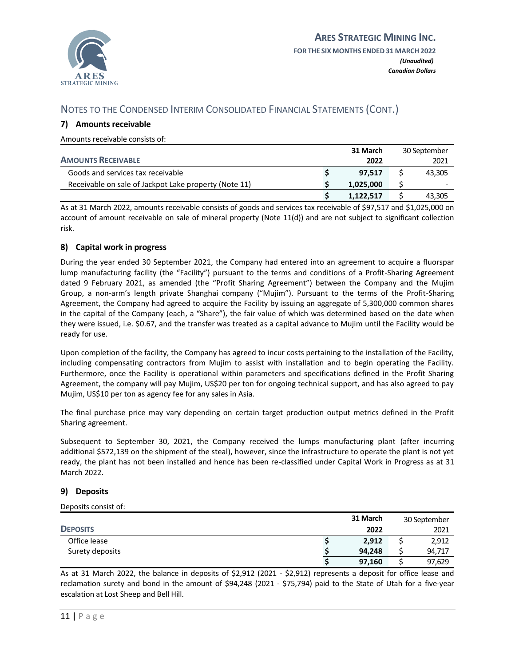

#### <span id="page-13-3"></span><span id="page-13-0"></span>**7) Amounts receivable**

Amounts receivable consists of:

|                                                       | 31 March  | 30 September |
|-------------------------------------------------------|-----------|--------------|
| <b>AMOUNTS RECEIVABLE</b>                             | 2022      | 2021         |
| Goods and services tax receivable                     | 97.517    | 43.305       |
| Receivable on sale of Jackpot Lake property (Note 11) | 1.025.000 |              |
|                                                       | 1.122.517 | 43.305       |

As at 31 March 2022, amounts receivable consists of goods and services tax receivable of \$97,517 and \$1,025,000 on account of amount receivable on sale of mineral property (Note 11(d)) and are not subject to significant collection risk.

#### <span id="page-13-1"></span>**8) Capital work in progress**

<span id="page-13-4"></span>During the year ended 30 September 2021, the Company had entered into an agreement to acquire a fluorspar lump manufacturing facility (the "Facility") pursuant to the terms and conditions of a Profit-Sharing Agreement dated 9 February 2021, as amended (the "Profit Sharing Agreement") between the Company and the Mujim Group, a non-arm's length private Shanghai company ("Mujim"). Pursuant to the terms of the Profit-Sharing Agreement, the Company had agreed to acquire the Facility by issuing an aggregate of 5,300,000 common shares in the capital of the Company (each, a "Share"), the fair value of which was determined based on the date when they were issued, i.e. \$0.67, and the transfer was treated as a capital advance to Mujim until the Facility would be ready for use.

Upon completion of the facility, the Company has agreed to incur costs pertaining to the installation of the Facility, including compensating contractors from Mujim to assist with installation and to begin operating the Facility. Furthermore, once the Facility is operational within parameters and specifications defined in the Profit Sharing Agreement, the company will pay Mujim, US\$20 per ton for ongoing technical support, and has also agreed to pay Mujim, US\$10 per ton as agency fee for any sales in Asia.

The final purchase price may vary depending on certain target production output metrics defined in the Profit Sharing agreement.

Subsequent to September 30, 2021, the Company received the lumps manufacturing plant (after incurring additional \$572,139 on the shipment of the steal), however, since the infrastructure to operate the plant is not yet ready, the plant has not been installed and hence has been re-classified under Capital Work in Progress as at 31 March 2022.

#### <span id="page-13-2"></span>**9) Deposits**

Deposits consist of:

|                 | 31 March | 30 September |
|-----------------|----------|--------------|
| <b>DEPOSITS</b> | 2022     | 2021         |
| Office lease    | 2,912    | 2,912        |
| Surety deposits | 94.248   | 94,717       |
|                 | 97,160   | 97,629       |

As at 31 March 2022, the balance in deposits of \$2,912 (2021 - \$2,912) represents a deposit for office lease and reclamation surety and bond in the amount of \$94,248 (2021 - \$75,794) paid to the State of Utah for a five-year escalation at Lost Sheep and Bell Hill.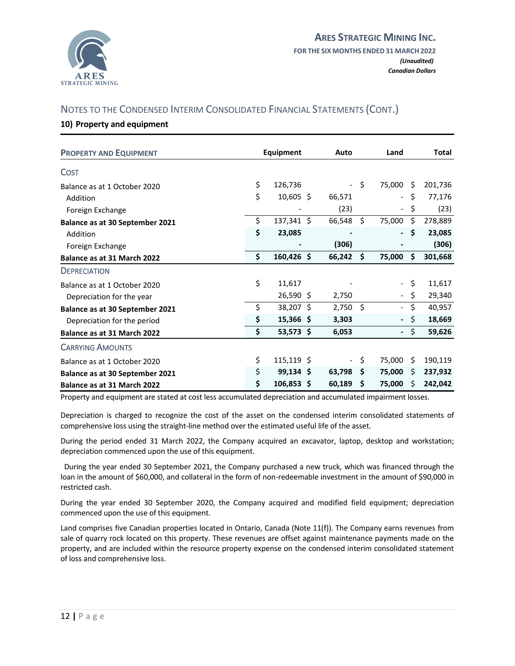

#### <span id="page-14-0"></span>**10) Property and equipment**

| <b>PROPERTY AND EQUIPMENT</b>   | <b>Equipment</b>   | Auto                     |                    | Land                     |    | <b>Total</b> |
|---------------------------------|--------------------|--------------------------|--------------------|--------------------------|----|--------------|
| <b>COST</b>                     |                    |                          |                    |                          |    |              |
| Balance as at 1 October 2020    | \$<br>126,736      | $\blacksquare$           | Ŝ.                 | 75,000                   | Ŝ. | 201,736      |
| Addition                        | \$<br>$10,605$ \$  | 66,571                   |                    | $\blacksquare$           | \$ | 77,176       |
| Foreign Exchange                |                    | (23)                     |                    | $\overline{\phantom{a}}$ | \$ | (23)         |
| Balance as at 30 September 2021 | \$<br>137,341 \$   | 66,548                   | \$                 | 75,000                   | Ś. | 278,889      |
| Addition                        | \$<br>23,085       |                          |                    | $\sim$                   | \$ | 23,085       |
| Foreign Exchange                |                    | (306)                    |                    |                          |    | (306)        |
| Balance as at 31 March 2022     | \$<br>160,426 \$   | 66,242                   | Ŝ.                 | 75,000                   | Ś. | 301,668      |
| <b>DEPRECIATION</b>             |                    |                          |                    |                          |    |              |
| Balance as at 1 October 2020    | \$<br>11,617       |                          |                    | $\sim$                   | \$ | 11,617       |
| Depreciation for the year       | $26,590$ \$        | 2,750                    |                    |                          | \$ | 29,340       |
| Balance as at 30 September 2021 | \$<br>38,207 \$    | 2,750                    | Ŝ.                 | $\equiv$                 | \$ | 40,957       |
| Depreciation for the period     | \$<br>15,366 \$    | 3,303                    |                    | $\sim$                   | \$ | 18,669       |
| Balance as at 31 March 2022     | \$<br>$53,573$ \$  | 6,053                    |                    | $\sim$                   | \$ | 59,626       |
| <b>CARRYING AMOUNTS</b>         |                    |                          |                    |                          |    |              |
| Balance as at 1 October 2020    | \$<br>$115,119$ \$ | $\overline{\phantom{a}}$ | $\ddot{\varsigma}$ | 75,000                   | Ŝ. | 190,119      |
| Balance as at 30 September 2021 | \$<br>99,134 \$    | 63,798                   | S                  | 75,000                   | S. | 237,932      |
| Balance as at 31 March 2022     | \$<br>106,853 \$   | 60,189                   | \$.                | 75,000                   | S  | 242,042      |

Property and equipment are stated at cost less accumulated depreciation and accumulated impairment losses.

Depreciation is charged to recognize the cost of the asset on the condensed interim consolidated statements of comprehensive loss using the straight-line method over the estimated useful life of the asset.

During the period ended 31 March 2022, the Company acquired an excavator, laptop, desktop and workstation; depreciation commenced upon the use of this equipment.

 During the year ended 30 September 2021, the Company purchased a new truck, which was financed through the loan in the amount of \$60,000, and collateral in the form of non-redeemable investment in the amount of \$90,000 in restricted cash.

During the year ended 30 September 2020, the Company acquired and modified field equipment; depreciation commenced upon the use of this equipment.

Land comprises five Canadian properties located in Ontario, Canada (Note 11(f)). The Company earns revenues from sale of quarry rock located on this property. These revenues are offset against maintenance payments made on the property, and are included within the resource property expense on the condensed interim consolidated statement of loss and comprehensive loss.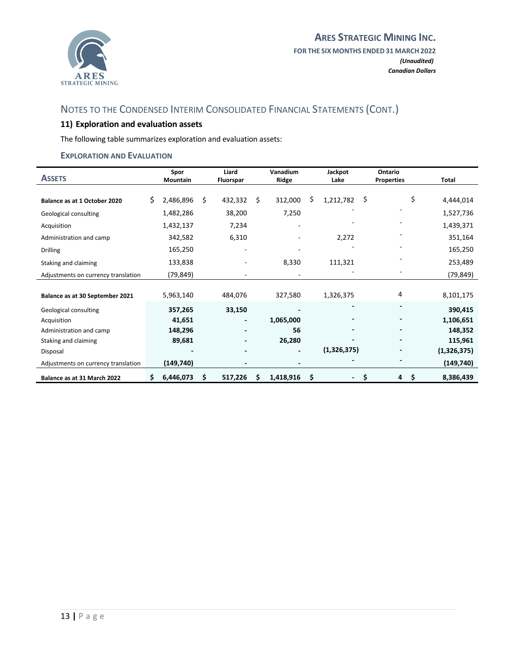

# <span id="page-15-0"></span>**11) Exploration and evaluation assets**

The following table summarizes exploration and evaluation assets:

#### **EXPLORATION AND EVALUATION**

| <b>ASSETS</b>                       | Spor<br><b>Mountain</b> |    | Liard<br>Fluorspar |    | Vanadium<br>Ridge        | Jackpot<br>Lake              | Ontario<br><b>Properties</b> | <b>Total</b> |
|-------------------------------------|-------------------------|----|--------------------|----|--------------------------|------------------------------|------------------------------|--------------|
|                                     |                         |    |                    |    |                          |                              |                              |              |
| Balance as at 1 October 2020        | \$<br>2,486,896         | Ś. | 432,332            | Ś. | 312,000                  | \$<br>1,212,782              | \$<br>\$                     | 4,444,014    |
| Geological consulting               | 1,482,286               |    | 38,200             |    | 7,250                    |                              |                              | 1,527,736    |
| Acquisition                         | 1,432,137               |    | 7,234              |    | ٠                        |                              |                              | 1,439,371    |
| Administration and camp             | 342,582                 |    | 6,310              |    | ٠                        | 2,272                        |                              | 351,164      |
| <b>Drilling</b>                     | 165,250                 |    |                    |    |                          |                              |                              | 165,250      |
| Staking and claiming                | 133,838                 |    |                    |    | 8,330                    | 111,321                      |                              | 253,489      |
| Adjustments on currency translation | (79,849)                |    |                    |    |                          |                              |                              | (79, 849)    |
|                                     |                         |    |                    |    |                          |                              |                              |              |
| Balance as at 30 September 2021     | 5,963,140               |    | 484,076            |    | 327,580                  | 1,326,375                    | 4                            | 8,101,175    |
| Geological consulting               | 357,265                 |    | 33,150             |    |                          | $\qquad \qquad \blacksquare$ | $\overline{a}$               | 390,415      |
| Acquisition                         | 41,651                  |    |                    |    | 1,065,000                |                              |                              | 1,106,651    |
| Administration and camp             | 148,296                 |    |                    |    | 56                       | $\overline{\phantom{0}}$     | $\blacksquare$               | 148,352      |
| Staking and claiming                | 89,681                  |    |                    |    | 26,280                   |                              |                              | 115,961      |
| Disposal                            |                         |    |                    |    | $\overline{\phantom{0}}$ | (1,326,375)                  |                              | (1,326,375)  |
| Adjustments on currency translation | (149, 740)              |    |                    |    | $\overline{\phantom{0}}$ |                              |                              | (149, 740)   |
| Balance as at 31 March 2022         | \$<br>6,446,073         | \$ | 517,226            | S  | 1,418,916                | \$<br>-                      | \$<br>4<br>\$,               | 8,386,439    |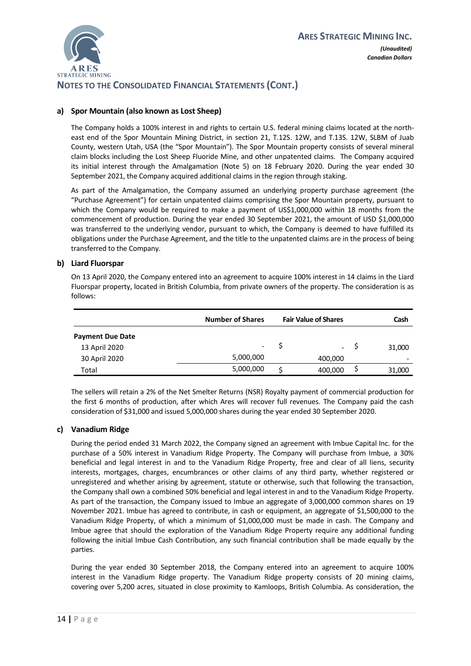

# **NOTES TO THE CONSOLIDATED FINANCIAL STATEMENTS (CONT.)**

#### **a) Spor Mountain (also known as Lost Sheep)**

The Company holds a 100% interest in and rights to certain U.S. federal mining claims located at the northeast end of the Spor Mountain Mining District, in section 21, T.12S. 12W, and T.13S. 12W, SLBM of Juab County, western Utah, USA (the "Spor Mountain"). The Spor Mountain property consists of several mineral claim blocks including the Lost Sheep Fluoride Mine, and other unpatented claims. The Company acquired its initial interest through the Amalgamation (Note 5) on 18 February 2020. During the year ended 30 September 2021, the Company acquired additional claims in the region through staking.

As part of the Amalgamation, the Company assumed an underlying property purchase agreement (the "Purchase Agreement") for certain unpatented claims comprising the Spor Mountain property, pursuant to which the Company would be required to make a payment of US\$1,000,000 within 18 months from the commencement of production. During the year ended 30 September 2021, the amount of USD \$1,000,000 was transferred to the underlying vendor, pursuant to which, the Company is deemed to have fulfilled its obligations under the Purchase Agreement, and the title to the unpatented claims are in the process of being transferred to the Company.

#### **b) Liard Fluorspar**

On 13 April 2020, the Company entered into an agreement to acquire 100% interest in 14 claims in the Liard Fluorspar property, located in British Columbia, from private owners of the property. The consideration is as follows:

|                         | <b>Number of Shares</b> | <b>Fair Value of Shares</b> | Cash                     |
|-------------------------|-------------------------|-----------------------------|--------------------------|
| <b>Payment Due Date</b> |                         |                             |                          |
| 13 April 2020           | -                       | $\overline{\phantom{a}}$    | 31,000                   |
| 30 April 2020           | 5,000,000               | 400,000                     | $\overline{\phantom{a}}$ |
| Total                   | 5,000,000               | 400,000                     | 31,000                   |

The sellers will retain a 2% of the Net Smelter Returns (NSR) Royalty payment of commercial production for the first 6 months of production, after which Ares will recover full revenues. The Company paid the cash consideration of \$31,000 and issued 5,000,000 shares during the year ended 30 September 2020.

#### **c) Vanadium Ridge**

During the period ended 31 March 2022, the Company signed an agreement with Imbue Capital Inc. for the purchase of a 50% interest in Vanadium Ridge Property. The Company will purchase from Imbue, a 30% beneficial and legal interest in and to the Vanadium Ridge Property, free and clear of all liens, security interests, mortgages, charges, encumbrances or other claims of any third party, whether registered or unregistered and whether arising by agreement, statute or otherwise, such that following the transaction, the Company shall own a combined 50% beneficial and legal interest in and to the Vanadium Ridge Property. As part of the transaction, the Company issued to Imbue an aggregate of 3,000,000 common shares on 19 November 2021. Imbue has agreed to contribute, in cash or equipment, an aggregate of \$1,500,000 to the Vanadium Ridge Property, of which a minimum of \$1,000,000 must be made in cash. The Company and Imbue agree that should the exploration of the Vanadium Ridge Property require any additional funding following the initial Imbue Cash Contribution, any such financial contribution shall be made equally by the parties.

During the year ended 30 September 2018, the Company entered into an agreement to acquire 100% interest in the Vanadium Ridge property. The Vanadium Ridge property consists of 20 mining claims, covering over 5,200 acres, situated in close proximity to Kamloops, British Columbia. As consideration, the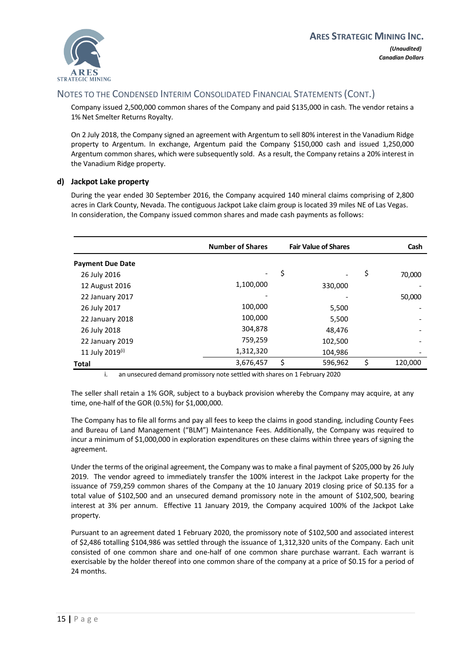

Company issued 2,500,000 common shares of the Company and paid \$135,000 in cash. The vendor retains a 1% Net Smelter Returns Royalty.

On 2 July 2018, the Company signed an agreement with Argentum to sell 80% interest in the Vanadium Ridge property to Argentum. In exchange, Argentum paid the Company \$150,000 cash and issued 1,250,000 Argentum common shares, which were subsequently sold. As a result, the Company retains a 20% interest in the Vanadium Ridge property.

#### <span id="page-17-0"></span>**d) Jackpot Lake property**

During the year ended 30 September 2016, the Company acquired 140 mineral claims comprising of 2,800 acres in Clark County, Nevada. The contiguous Jackpot Lake claim group is located 39 miles NE of Las Vegas. In consideration, the Company issued common shares and made cash payments as follows:

|                         | <b>Number of Shares</b> | <b>Fair Value of Shares</b> |         | Cash                     |
|-------------------------|-------------------------|-----------------------------|---------|--------------------------|
| <b>Payment Due Date</b> |                         |                             |         |                          |
| 26 July 2016            |                         | \$                          |         | \$<br>70,000             |
| 12 August 2016          | 1,100,000               |                             | 330,000 |                          |
| 22 January 2017         |                         |                             |         | 50,000                   |
| 26 July 2017            | 100,000                 |                             | 5,500   |                          |
| 22 January 2018         | 100,000                 |                             | 5,500   |                          |
| 26 July 2018            | 304,878                 |                             | 48,476  |                          |
| 22 January 2019         | 759,259                 |                             | 102,500 | $\overline{\phantom{a}}$ |
| 11 July 2019(i)         | 1,312,320               |                             | 104,986 |                          |
| <b>Total</b>            | 3,676,457               | \$                          | 596,962 | \$<br>120,000            |

i. an unsecured demand promissory note settled with shares on 1 February 2020

The seller shall retain a 1% GOR, subject to a buyback provision whereby the Company may acquire, at any time, one-half of the GOR (0.5%) for \$1,000,000.

The Company has to file all forms and pay all fees to keep the claims in good standing, including County Fees and Bureau of Land Management ("BLM") Maintenance Fees. Additionally, the Company was required to incur a minimum of \$1,000,000 in exploration expenditures on these claims within three years of signing the agreement.

Under the terms of the original agreement, the Company was to make a final payment of \$205,000 by 26 July 2019. The vendor agreed to immediately transfer the 100% interest in the Jackpot Lake property for the issuance of 759,259 common shares of the Company at the 10 January 2019 closing price of \$0.135 for a total value of \$102,500 and an unsecured demand promissory note in the amount of \$102,500, bearing interest at 3% per annum. Effective 11 January 2019, the Company acquired 100% of the Jackpot Lake property.

Pursuant to an agreement dated 1 February 2020, the promissory note of \$102,500 and associated interest of \$2,486 totalling \$104,986 was settled through the issuance of 1,312,320 units of the Company. Each unit consisted of one common share and one-half of one common share purchase warrant. Each warrant is exercisable by the holder thereof into one common share of the company at a price of \$0.15 for a period of 24 months.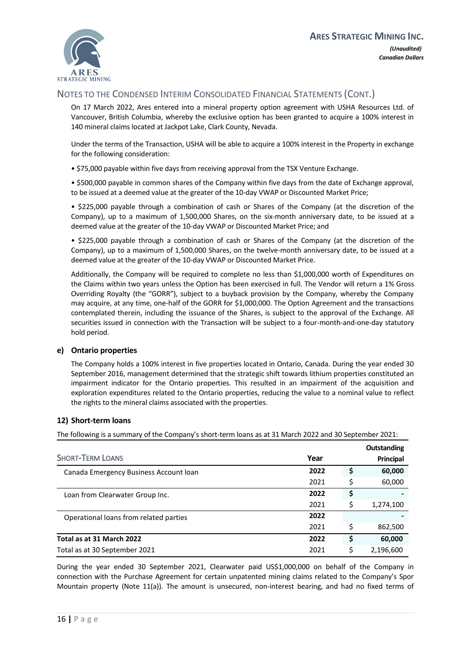

On 17 March 2022, Ares entered into a mineral property option agreement with USHA Resources Ltd. of Vancouver, British Columbia, whereby the exclusive option has been granted to acquire a 100% interest in 140 mineral claims located at Jackpot Lake, Clark County, Nevada.

Under the terms of the Transaction, USHA will be able to acquire a 100% interest in the Property in exchange for the following consideration:

• \$75,000 payable within five days from receiving approval from the TSX Venture Exchange.

• \$500,000 payable in common shares of the Company within five days from the date of Exchange approval, to be issued at a deemed value at the greater of the 10-day VWAP or Discounted Market Price;

• \$225,000 payable through a combination of cash or Shares of the Company (at the discretion of the Company), up to a maximum of 1,500,000 Shares, on the six-month anniversary date, to be issued at a deemed value at the greater of the 10-day VWAP or Discounted Market Price; and

• \$225,000 payable through a combination of cash or Shares of the Company (at the discretion of the Company), up to a maximum of 1,500,000 Shares, on the twelve-month anniversary date, to be issued at a deemed value at the greater of the 10-day VWAP or Discounted Market Price.

Additionally, the Company will be required to complete no less than \$1,000,000 worth of Expenditures on the Claims within two years unless the Option has been exercised in full. The Vendor will return a 1% Gross Overriding Royalty (the "GORR"), subject to a buyback provision by the Company, whereby the Company may acquire, at any time, one-half of the GORR for \$1,000,000. The Option Agreement and the transactions contemplated therein, including the issuance of the Shares, is subject to the approval of the Exchange. All securities issued in connection with the Transaction will be subject to a four-month-and-one-day statutory hold period.

#### **e) Ontario properties**

<span id="page-18-0"></span>The Company holds a 100% interest in five properties located in Ontario, Canada. During the year ended 30 September 2016, management determined that the strategic shift towards lithium properties constituted an impairment indicator for the Ontario properties. This resulted in an impairment of the acquisition and exploration expenditures related to the Ontario properties, reducing the value to a nominal value to reflect the rights to the mineral claims associated with the properties.

#### <span id="page-18-1"></span>**12) Short-term loans**

The following is a summary of the Company's short-term loans as at 31 March 2022 and 30 September 2021:

|                                        |      |    | Outstanding |
|----------------------------------------|------|----|-------------|
| <b>SHORT-TERM LOANS</b>                | Year |    | Principal   |
| Canada Emergency Business Account Ioan | 2022 | \$ | 60,000      |
|                                        | 2021 | \$ | 60,000      |
| Loan from Clearwater Group Inc.        | 2022 | \$ |             |
|                                        | 2021 | Ś  | 1,274,100   |
| Operational loans from related parties | 2022 |    |             |
|                                        | 2021 | Ś  | 862,500     |
| Total as at 31 March 2022              | 2022 | S  | 60,000      |
| Total as at 30 September 2021          | 2021 |    | 2,196,600   |

During the year ended 30 September 2021, Clearwater paid US\$1,000,000 on behalf of the Company in connection with the Purchase Agreement for certain unpatented mining claims related to the Company's Spor Mountain property (Note 11(a)). The amount is unsecured, non-interest bearing, and had no fixed terms of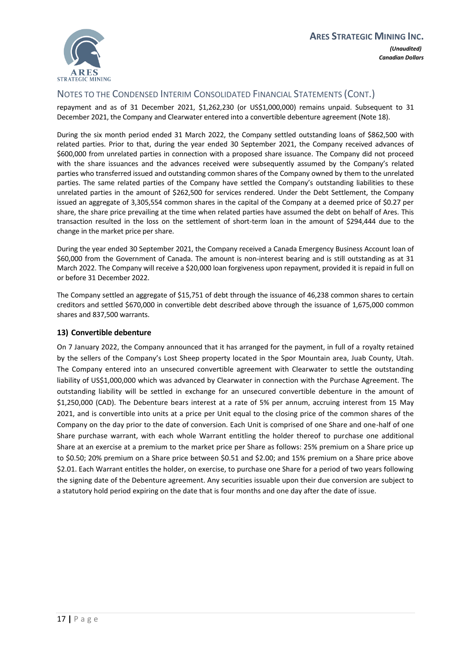

repayment and as of 31 December 2021, \$1,262,230 (or US\$1,000,000) remains unpaid. Subsequent to 31 December 2021, the Company and Clearwater entered into a convertible debenture agreement (Note 18).

During the six month period ended 31 March 2022, the Company settled outstanding loans of \$862,500 with related parties. Prior to that, during the year ended 30 September 2021, the Company received advances of \$600,000 from unrelated parties in connection with a proposed share issuance. The Company did not proceed with the share issuances and the advances received were subsequently assumed by the Company's related parties who transferred issued and outstanding common shares of the Company owned by them to the unrelated parties. The same related parties of the Company have settled the Company's outstanding liabilities to these unrelated parties in the amount of \$262,500 for services rendered. Under the Debt Settlement, the Company issued an aggregate of 3,305,554 common shares in the capital of the Company at a deemed price of \$0.27 per share, the share price prevailing at the time when related parties have assumed the debt on behalf of Ares. This transaction resulted in the loss on the settlement of short-term loan in the amount of \$294,444 due to the change in the market price per share.

During the year ended 30 September 2021, the Company received a Canada Emergency Business Account loan of \$60,000 from the Government of Canada. The amount is non-interest bearing and is still outstanding as at 31 March 2022. The Company will receive a \$20,000 loan forgiveness upon repayment, provided it is repaid in full on or before 31 December 2022.

<span id="page-19-0"></span>The Company settled an aggregate of \$15,751 of debt through the issuance of 46,238 common shares to certain creditors and settled \$670,000 in convertible debt described above through the issuance of 1,675,000 common shares and 837,500 warrants.

## <span id="page-19-1"></span>**13) Convertible debenture**

On 7 January 2022, the Company announced that it has arranged for the payment, in full of a royalty retained by the sellers of the Company's Lost Sheep property located in the Spor Mountain area, Juab County, Utah. The Company entered into an unsecured convertible agreement with Clearwater to settle the outstanding liability of US\$1,000,000 which was advanced by Clearwater in connection with the Purchase Agreement. The outstanding liability will be settled in exchange for an unsecured convertible debenture in the amount of \$1,250,000 (CAD). The Debenture bears interest at a rate of 5% per annum, accruing interest from 15 May 2021, and is convertible into units at a price per Unit equal to the closing price of the common shares of the Company on the day prior to the date of conversion. Each Unit is comprised of one Share and one-half of one Share purchase warrant, with each whole Warrant entitling the holder thereof to purchase one additional Share at an exercise at a premium to the market price per Share as follows: 25% premium on a Share price up to \$0.50; 20% premium on a Share price between \$0.51 and \$2.00; and 15% premium on a Share price above \$2.01. Each Warrant entitles the holder, on exercise, to purchase one Share for a period of two years following the signing date of the Debenture agreement. Any securities issuable upon their due conversion are subject to a statutory hold period expiring on the date that is four months and one day after the date of issue.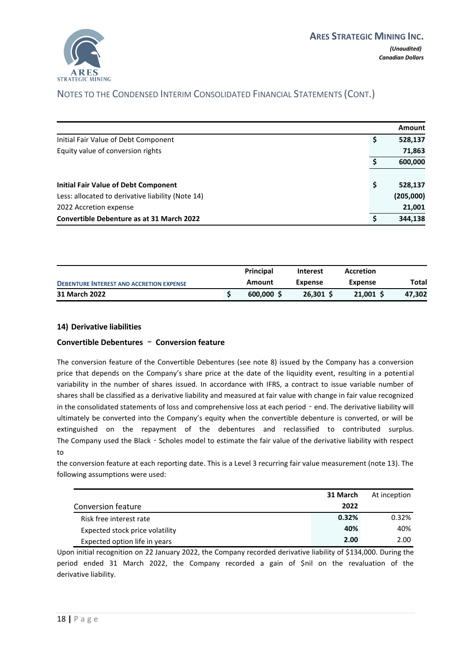

|                                                   | Amount        |
|---------------------------------------------------|---------------|
| Initial Fair Value of Debt Component              | 528,137<br>\$ |
| Equity value of conversion rights                 | 71,863        |
|                                                   | 600,000       |
| <b>Initial Fair Value of Debt Component</b>       | \$<br>528,137 |
| Less: allocated to derivative liability (Note 14) | (205,000)     |
| 2022 Accretion expense                            | 21,001        |
| <b>Convertible Debenture as at 31 March 2022</b>  | 344.138<br>\$ |

<span id="page-20-0"></span>

|                                                 |  | <b>Principal</b> | Interest    | Accretion |        |
|-------------------------------------------------|--|------------------|-------------|-----------|--------|
| <b>DEBENTURE INTEREST AND ACCRETION EXPENSE</b> |  | Amount           | Expense     | Expense   | Total  |
| 31 March 2022                                   |  | 600.000          | $26.301$ \$ | 21,001 S  | 47.302 |

#### <span id="page-20-1"></span>**14) Derivative liabilities**

#### **Convertible Debentures** – **Conversion feature**

The conversion feature of the Convertible Debentures (see note 8) issued by the Company has a conversion price that depends on the Company's share price at the date of the liquidity event, resulting in a potential variability in the number of shares issued. In accordance with IFRS, a contract to issue variable number of shares shall be classified as a derivative liability and measured at fair value with change in fair value recognized in the consolidated statements of loss and comprehensive loss at each period - end. The derivative liability will ultimately be converted into the Company's equity when the convertible debenture is converted, or will be extinguished on the repayment of the debentures and reclassified to contributed surplus. The Company used the Black - Scholes model to estimate the fair value of the derivative liability with respect to

the conversion feature at each reporting date. This is a Level 3 recurring fair value measurement (note 13). The following assumptions were used:

|                                 | 31 March | At inception |
|---------------------------------|----------|--------------|
| Conversion feature              | 2022     |              |
| Risk free interest rate         | 0.32%    | 0.32%        |
| Expected stock price volatility | 40%      | 40%          |
| Expected option life in years   | 2.00     | 2.00         |

Upon initial recognition on 22 January 2022, the Company recorded derivative liability of \$134,000. During the period ended 31 March 2022, the Company recorded a gain of \$nil on the revaluation of the derivative liability.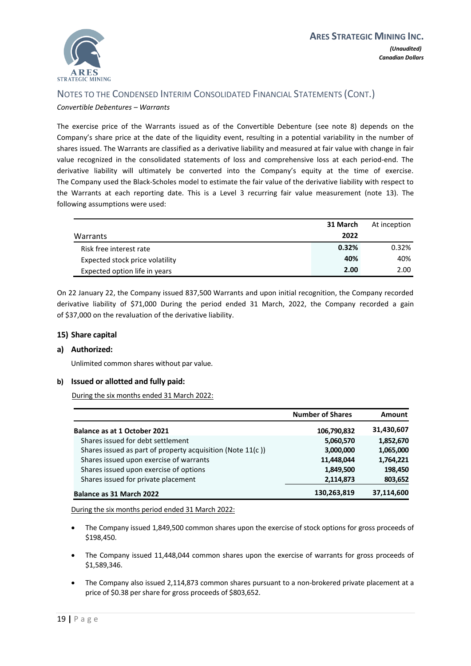

*Convertible Debentures – Warrants*

The exercise price of the Warrants issued as of the Convertible Debenture (see note 8) depends on the Company's share price at the date of the liquidity event, resulting in a potential variability in the number of shares issued. The Warrants are classified as a derivative liability and measured at fair value with change in fair value recognized in the consolidated statements of loss and comprehensive loss at each period‐end. The derivative liability will ultimately be converted into the Company's equity at the time of exercise. The Company used the Black‐Scholes model to estimate the fair value of the derivative liability with respect to the Warrants at each reporting date. This is a Level 3 recurring fair value measurement (note [13\).](#page-19-1) The following assumptions were used:

|                                 | 31 March | At inception |
|---------------------------------|----------|--------------|
| Warrants                        | 2022     |              |
| Risk free interest rate         | 0.32%    | 0.32%        |
| Expected stock price volatility | 40%      | 40%          |
| Expected option life in years   | 2.00     | 2.00         |

<span id="page-21-0"></span>On 22 January 22, the Company issued 837,500 Warrants and upon initial recognition, the Company recorded derivative liability of \$71,000 During the period ended 31 March, 2022, the Company recorded a gain of \$37,000 on the revaluation of the derivative liability.

#### **15) Share capital**

#### **a) Authorized:**

Unlimited common shares without par value.

#### **b) Issued or allotted and fully paid:**

During the six months ended 31 March 2022:

|                                                            | <b>Number of Shares</b> | Amount     |
|------------------------------------------------------------|-------------------------|------------|
| Balance as at 1 October 2021                               | 106,790,832             | 31,430,607 |
| Shares issued for debt settlement                          | 5,060,570               | 1,852,670  |
| Shares issued as part of property acquisition (Note 11(c)) | 3,000,000               | 1,065,000  |
| Shares issued upon exercise of warrants                    | 11,448,044              | 1,764,221  |
| Shares issued upon exercise of options                     | 1,849,500               | 198,450    |
| Shares issued for private placement                        | 2,114,873               | 803,652    |
| Balance as 31 March 2022                                   | 130,263,819             | 37,114,600 |

During the six months period ended 31 March 2022:

- The Company issued 1,849,500 common shares upon the exercise of stock options for gross proceeds of \$198,450.
- The Company issued 11,448,044 common shares upon the exercise of warrants for gross proceeds of \$1,589,346.
- The Company also issued 2,114,873 common shares pursuant to a non-brokered private placement at a price of \$0.38 per share for gross proceeds of \$803,652.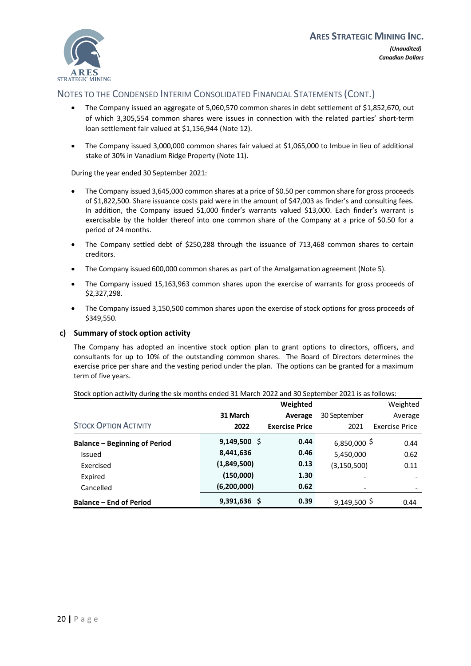

- The Company issued an aggregate of 5,060,570 common shares in debt settlement of \$1,852,670, out of which 3,305,554 common shares were issues in connection with the related parties' short-term loan settlement fair valued at \$1,156,944 (Note 12).
- The Company issued 3,000,000 common shares fair valued at \$1,065,000 to Imbue in lieu of additional stake of 30% in Vanadium Ridge Property (Note 11).

#### During the year ended 30 September 2021:

- The Company issued 3,645,000 common shares at a price of \$0.50 per common share for gross proceeds of \$1,822,500. Share issuance costs paid were in the amount of \$47,003 as finder's and consulting fees. In addition, the Company issued 51,000 finder's warrants valued \$13,000. Each finder's warrant is exercisable by the holder thereof into one common share of the Company at a price of \$0.50 for a period of 24 months.
- The Company settled debt of \$250,288 through the issuance of 713,468 common shares to certain creditors.
- The Company issued 600,000 common shares as part of the Amalgamation agreement (Note 5).
- The Company issued 15,163,963 common shares upon the exercise of warrants for gross proceeds of \$2,327,298.
- The Company issued 3,150,500 common shares upon the exercise of stock options for gross proceeds of \$349,550.

#### **c) Summary of stock option activity**

The Company has adopted an incentive stock option plan to grant options to directors, officers, and consultants for up to 10% of the outstanding common shares. The Board of Directors determines the exercise price per share and the vesting period under the plan. The options can be granted for a maximum term of five years.

|                                      |                | Weighted              |                | Weighted              |
|--------------------------------------|----------------|-----------------------|----------------|-----------------------|
|                                      | 31 March       | Average               | 30 September   | Average               |
| <b>STOCK OPTION ACTIVITY</b>         | 2022           | <b>Exercise Price</b> | 2021           | <b>Exercise Price</b> |
| <b>Balance - Beginning of Period</b> | $9,149,500$ \$ | 0.44                  | $6,850,000$ \$ | 0.44                  |
| <b>Issued</b>                        | 8,441,636      | 0.46                  | 5,450,000      | 0.62                  |
| Exercised                            | (1,849,500)    | 0.13                  | (3,150,500)    | 0.11                  |
| Expired                              | (150,000)      | 1.30                  | -              |                       |
| Cancelled                            | (6,200,000)    | 0.62                  | -              |                       |
| <b>Balance – End of Period</b>       | $9,391,636$ \$ | 0.39                  | $9,149,500$ \$ | 0.44                  |

Stock option activity during the six months ended 31 March 2022 and 30 September 2021 is as follows: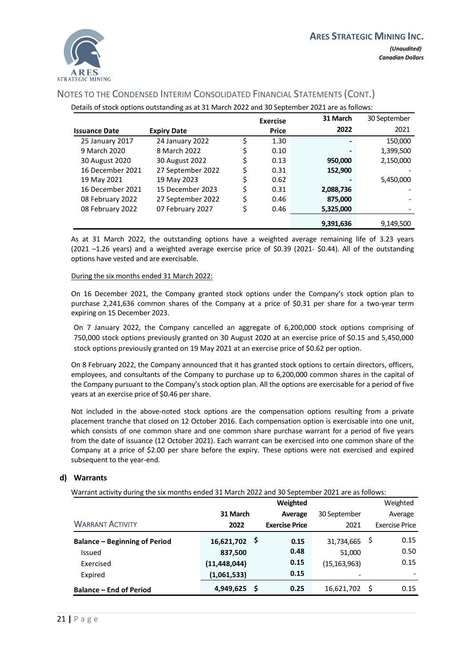

| Details of stock options outstanding as at 31 March 2022 and 30 September 2021 are as follows: |                                             |    |              |           |           |  |
|------------------------------------------------------------------------------------------------|---------------------------------------------|----|--------------|-----------|-----------|--|
|                                                                                                | 31 March<br>30 September<br><b>Exercise</b> |    |              |           |           |  |
| <b>Issuance Date</b>                                                                           | <b>Expiry Date</b>                          |    | <b>Price</b> | 2022      | 2021      |  |
| 25 January 2017                                                                                | 24 January 2022                             | Ś  | 1.30         |           | 150,000   |  |
| 9 March 2020                                                                                   | 8 March 2022                                | \$ | 0.10         |           | 1,399,500 |  |
| 30 August 2020                                                                                 | 30 August 2022                              | \$ | 0.13         | 950,000   | 2,150,000 |  |
| 16 December 2021                                                                               | 27 September 2022                           | \$ | 0.31         | 152,900   |           |  |
| 19 May 2021                                                                                    | 19 May 2023                                 | \$ | 0.62         |           | 5,450,000 |  |
| 16 December 2021                                                                               | 15 December 2023                            | \$ | 0.31         | 2,088,736 |           |  |
| 08 February 2022                                                                               | 27 September 2022                           | \$ | 0.46         | 875,000   |           |  |
| 08 February 2022                                                                               | 07 February 2027                            | \$ | 0.46         | 5,325,000 |           |  |
|                                                                                                |                                             |    |              | 9,391,636 | 9,149,500 |  |

As at 31 March 2022, the outstanding options have a weighted average remaining life of 3.23 years (2021 –1.26 years) and a weighted average exercise price of \$0.39 (2021- \$0.44). All of the outstanding options have vested and are exercisable.

#### During the six months ended 31 March 2022:

On 16 December 2021, the Company granted stock options under the Company's stock option plan to purchase 2,241,636 common shares of the Company at a price of \$0.31 per share for a two-year term expiring on 15 December 2023.

On 7 January 2022, the Company cancelled an aggregate of 6,200,000 stock options comprising of 750,000 stock options previously granted on 30 August 2020 at an exercise price of \$0.15 and 5,450,000 stock options previously granted on 19 May 2021 at an exercise price of \$0.62 per option.

On 8 February 2022, the Company announced that it has granted stock options to certain directors, officers, employees, and consultants of the Company to purchase up to 6,200,000 common shares in the capital of the Company pursuant to the Company's stock option plan. All the options are exercisable for a period of five years at an exercise price of \$0.46 per share.

Not included in the above-noted stock options are the compensation options resulting from a private placement tranche that closed on 12 October 2016. Each compensation option is exercisable into one unit, which consists of one common share and one common share purchase warrant for a period of five years from the date of issuance (12 October 2021). Each warrant can be exercised into one common share of the Company at a price of \$2.00 per share before the expiry. These options were not exercised and expired subsequent to the year-end.

#### **d) Warrants**

Warrant activity during the six months ended 31 March 2022 and 30 September 2021 are as follows:

|                                      |                   | Weighted              |                |    | Weighted              |
|--------------------------------------|-------------------|-----------------------|----------------|----|-----------------------|
|                                      | 31 March          | Average               | 30 September   |    | Average               |
| <b>WARRANT ACTIVITY</b>              | 2022              | <b>Exercise Price</b> | 2021           |    | <b>Exercise Price</b> |
| <b>Balance - Beginning of Period</b> | - Ş<br>16,621,702 | 0.15                  | 31,734,665     | Ş  | 0.15                  |
| Issued                               | 837,500           | 0.48                  | 51,000         |    | 0.50                  |
| Exercised                            | (11, 448, 044)    | 0.15                  | (15, 163, 963) |    | 0.15                  |
| Expired                              | (1,061,533)       | 0.15                  |                |    |                       |
| <b>Balance – End of Period</b>       | .\$<br>4,949,625  | 0.25                  | 16,621,702     | S. | 0.15                  |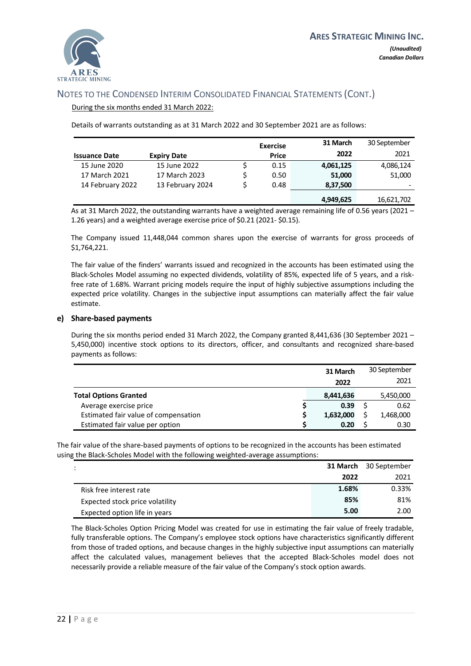

#### During the six months ended 31 March 2022:

Details of warrants outstanding as at 31 March 2022 and 30 September 2021 are as follows:

|                      |                    | <b>Exercise</b> | 31 March  | 30 September |
|----------------------|--------------------|-----------------|-----------|--------------|
| <b>Issuance Date</b> | <b>Expiry Date</b> | <b>Price</b>    | 2022      | 2021         |
| 15 June 2020         | 15 June 2022       | 0.15            | 4,061,125 | 4,086,124    |
| 17 March 2021        | 17 March 2023      | 0.50            | 51,000    | 51,000       |
| 14 February 2022     | 13 February 2024   | 0.48            | 8,37,500  |              |
|                      |                    |                 | 4,949,625 | 16,621,702   |

As at 31 March 2022, the outstanding warrants have a weighted average remaining life of 0.56 years (2021 – 1.26 years) and a weighted average exercise price of \$0.21 (2021- \$0.15).

The Company issued 11,448,044 common shares upon the exercise of warrants for gross proceeds of \$1,764,221.

The fair value of the finders' warrants issued and recognized in the accounts has been estimated using the Black-Scholes Model assuming no expected dividends, volatility of 85%, expected life of 5 years, and a riskfree rate of 1.68%. Warrant pricing models require the input of highly subjective assumptions including the expected price volatility. Changes in the subjective input assumptions can materially affect the fair value estimate.

#### **e) Share-based payments**

During the six months period ended 31 March 2022, the Company granted 8,441,636 (30 September 2021 – 5,450,000) incentive stock options to its directors, officer, and consultants and recognized share-based payments as follows:

|                                      | 31 March  | 30 September |           |  |
|--------------------------------------|-----------|--------------|-----------|--|
|                                      | 2022      |              | 2021      |  |
| <b>Total Options Granted</b>         | 8,441,636 |              | 5,450,000 |  |
| Average exercise price               | 0.39      |              | 0.62      |  |
| Estimated fair value of compensation | 1,632,000 |              | 1,468,000 |  |
| Estimated fair value per option      | 0.20      |              | 0.30      |  |

The fair value of the share-based payments of options to be recognized in the accounts has been estimated using the Black-Scholes Model with the following weighted-average assumptions:

| $\ddot{\phantom{0}}$            |       | <b>31 March</b> 30 September |
|---------------------------------|-------|------------------------------|
|                                 | 2022  | 2021                         |
| Risk free interest rate         | 1.68% | 0.33%                        |
| Expected stock price volatility | 85%   | 81%                          |
| Expected option life in years   | 5.00  | 2.00                         |

The Black-Scholes Option Pricing Model was created for use in estimating the fair value of freely tradable, fully transferable options. The Company's employee stock options have characteristics significantly different from those of traded options, and because changes in the highly subjective input assumptions can materially affect the calculated values, management believes that the accepted Black-Scholes model does not necessarily provide a reliable measure of the fair value of the Company's stock option awards.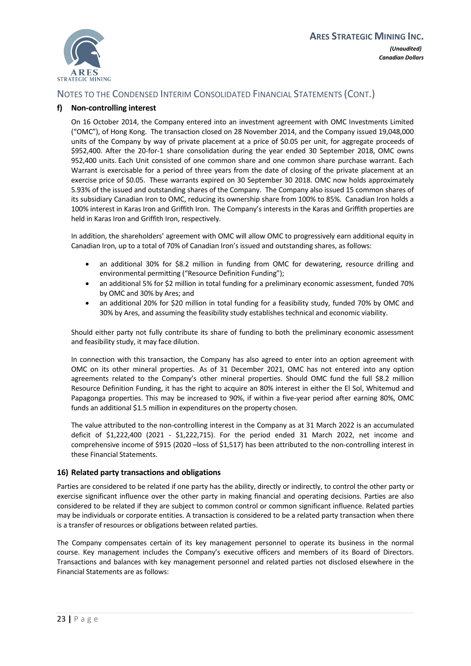

#### **f) Non-controlling interest**

On 16 October 2014, the Company entered into an investment agreement with OMC Investments Limited ("OMC"), of Hong Kong. The transaction closed on 28 November 2014, and the Company issued 19,048,000 units of the Company by way of private placement at a price of \$0.05 per unit, for aggregate proceeds of \$952,400. After the 20-for-1 share consolidation during the year ended 30 September 2018, OMC owns 952,400 units. Each Unit consisted of one common share and one common share purchase warrant. Each Warrant is exercisable for a period of three years from the date of closing of the private placement at an exercise price of \$0.05. These warrants expired on 30 September 30 2018. OMC now holds approximately 5.93% of the issued and outstanding shares of the Company. The Company also issued 15 common shares of its subsidiary Canadian Iron to OMC, reducing its ownership share from 100% to 85%. Canadian Iron holds a 100% interest in Karas Iron and Griffith Iron. The Company's interests in the Karas and Griffith properties are held in Karas Iron and Griffith Iron, respectively.

In addition, the shareholders' agreement with OMC will allow OMC to progressively earn additional equity in Canadian Iron, up to a total of 70% of Canadian Iron's issued and outstanding shares, as follows:

- an additional 30% for \$8.2 million in funding from OMC for dewatering, resource drilling and environmental permitting ("Resource Definition Funding");
- an additional 5% for \$2 million in total funding for a preliminary economic assessment, funded 70% by OMC and 30% by Ares; and
- an additional 20% for \$20 million in total funding for a feasibility study, funded 70% by OMC and 30% by Ares, and assuming the feasibility study establishes technical and economic viability.

Should either party not fully contribute its share of funding to both the preliminary economic assessment and feasibility study, it may face dilution.

In connection with this transaction, the Company has also agreed to enter into an option agreement with OMC on its other mineral properties. As of 31 December 2021, OMC has not entered into any option agreements related to the Company's other mineral properties. Should OMC fund the full \$8.2 million Resource Definition Funding, it has the right to acquire an 80% interest in either the El Sol, Whitemud and Papagonga properties. This may be increased to 90%, if within a five-year period after earning 80%, OMC funds an additional \$1.5 million in expenditures on the property chosen.

<span id="page-25-0"></span>The value attributed to the non-controlling interest in the Company as at 31 March 2022 is an accumulated deficit of \$1,222,400 (2021 - \$1,222,715). For the period ended 31 March 2022, net income and comprehensive income of \$915 (2020 –loss of \$1,517) has been attributed to the non-controlling interest in these Financial Statements.

#### **16) Related party transactions and obligations**

Parties are considered to be related if one party has the ability, directly or indirectly, to control the other party or exercise significant influence over the other party in making financial and operating decisions. Parties are also considered to be related if they are subject to common control or common significant influence. Related parties may be individuals or corporate entities. A transaction is considered to be a related party transaction when there is a transfer of resources or obligations between related parties.

The Company compensates certain of its key management personnel to operate its business in the normal course. Key management includes the Company's executive officers and members of its Board of Directors. Transactions and balances with key management personnel and related parties not disclosed elsewhere in the Financial Statements are as follows: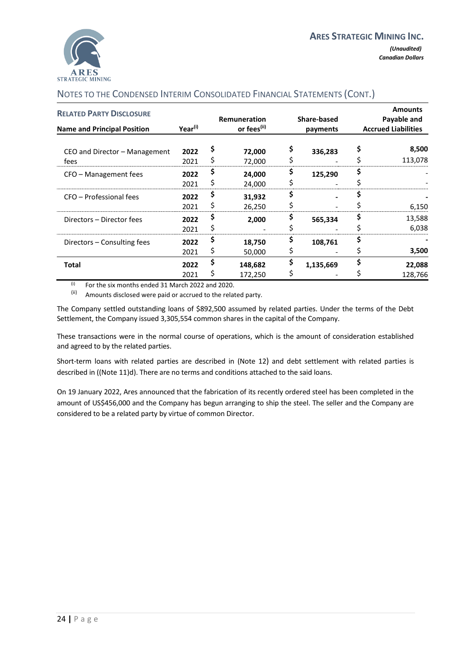

| <b>RELATED PARTY DISCLOSURE</b><br><b>Name and Principal Position</b> | Year <sup>(i)</sup> | Remuneration<br>or fees <sup>(ii)</sup> |                    | Share-based<br>payments |           | <b>Amounts</b><br>Payable and<br><b>Accrued Liabilities</b> |
|-----------------------------------------------------------------------|---------------------|-----------------------------------------|--------------------|-------------------------|-----------|-------------------------------------------------------------|
| CEO and Director – Management<br>fees                                 | 2022<br>2021        |                                         | 72,000<br>72,000   |                         | 336,283   | 8,500<br>113,078                                            |
| CFO – Management fees                                                 | 2022<br>2021        |                                         | 24,000<br>24,000   |                         | 125,290   |                                                             |
| CFO - Professional fees                                               | 2022<br>2021        |                                         | 31,932<br>26,250   |                         |           | 6,150                                                       |
| Directors - Director fees                                             | 2022<br>2021        |                                         | 2,000              |                         | 565,334   | 13,588<br>6,038                                             |
| Directors – Consulting fees                                           | 2022<br>2021        | ⇒                                       | 18,750<br>50,000   |                         | 108,761   | 3,500                                                       |
| Total                                                                 | 2022<br>2021        |                                         | 148,682<br>172,250 |                         | 1,135,669 | 22,088<br>128,766                                           |

 $(i)$  For the six months ended 31 March 2022 and 2020.

(ii) Amounts disclosed were paid or accrued to the related party.

The Company settled outstanding loans of \$892,500 assumed by related parties. Under the terms of the Debt Settlement, the Company issued 3,305,554 common shares in the capital of the Company.

These transactions were in the normal course of operations, which is the amount of consideration established and agreed to by the related parties.

Short-term loans with related parties are described in (Note [12](#page-18-1)[\)](#page-18-1) and debt settlement with related parties is described in ((Not[e 11\)d\).](#page-17-0) There are no terms and conditions attached to the said loans.

On 19 January 2022, Ares announced that the fabrication of its recently ordered steel has been completed in the amount of US\$456,000 and the Company has begun arranging to ship the steel. The seller and the Company are considered to be a related party by virtue of common Director.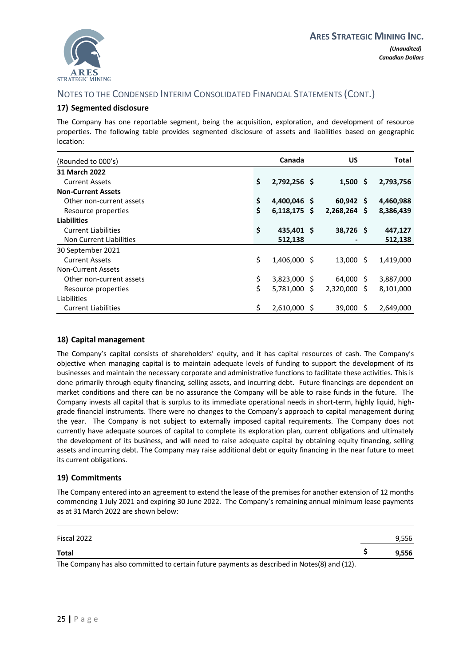<span id="page-27-0"></span>

#### **17) Segmented disclosure**

The Company has one reportable segment, being the acquisition, exploration, and development of resource properties. The following table provides segmented disclosure of assets and liabilities based on geographic location:

| (Rounded to 000's)         | Canada               |   | US                         |   | Total     |
|----------------------------|----------------------|---|----------------------------|---|-----------|
| 31 March 2022              |                      |   |                            |   |           |
| <b>Current Assets</b>      | \$<br>2,792,256 \$   |   | $1,500 \; \text{S}$        |   | 2,793,756 |
| <b>Non-Current Assets</b>  |                      |   |                            |   |           |
| Other non-current assets   | \$<br>4,400,046 \$   |   | $60,942$ \$                |   | 4,460,988 |
| Resource properties        | \$<br>$6,118,175$ \$ |   | $2,268,264$ \$             |   | 8,386,439 |
| <b>Liabilities</b>         |                      |   |                            |   |           |
| <b>Current Liabilities</b> | \$<br>435,401 \$     |   | 38,726 \$                  |   | 447,127   |
| Non Current Liabilities    | 512,138              |   |                            |   | 512,138   |
| 30 September 2021          |                      |   |                            |   |           |
| <b>Current Assets</b>      | \$<br>1,406,000 \$   |   | $13,000 \text{ } \text{S}$ |   | 1,419,000 |
| <b>Non-Current Assets</b>  |                      |   |                            |   |           |
| Other non-current assets   | \$<br>3,823,000 \$   |   | 64,000 \$                  |   | 3,887,000 |
| Resource properties        | \$<br>5,781,000      | S | 2,320,000 \$               |   | 8,101,000 |
| Liabilities                |                      |   |                            |   |           |
| <b>Current Liabilities</b> | \$<br>2,610,000      | S | 39,000                     | S | 2,649,000 |

#### <span id="page-27-1"></span>**18) Capital management**

The Company's capital consists of shareholders' equity, and it has capital resources of cash. The Company's objective when managing capital is to maintain adequate levels of funding to support the development of its businesses and maintain the necessary corporate and administrative functions to facilitate these activities. This is done primarily through equity financing, selling assets, and incurring debt. Future financings are dependent on market conditions and there can be no assurance the Company will be able to raise funds in the future. The Company invests all capital that is surplus to its immediate operational needs in short-term, highly liquid, highgrade financial instruments. There were no changes to the Company's approach to capital management during the year. The Company is not subject to externally imposed capital requirements. The Company does not currently have adequate sources of capital to complete its exploration plan, current obligations and ultimately the development of its business, and will need to raise adequate capital by obtaining equity financing, selling assets and incurring debt. The Company may raise additional debt or equity financing in the near future to meet its current obligations.

#### <span id="page-27-2"></span>**19) Commitments**

The Company entered into an agreement to extend the lease of the premises for another extension of 12 months commencing 1 July 2021 and expiring 30 June 2022. The Company's remaining annual minimum lease payments as at 31 March 2022 are shown below:

| Fiscal 2022                                                                                  | 9,556 |
|----------------------------------------------------------------------------------------------|-------|
| <b>Total</b>                                                                                 | 9.556 |
| The Company has also committed to certain future payments as described in Notes(8) and (12). |       |